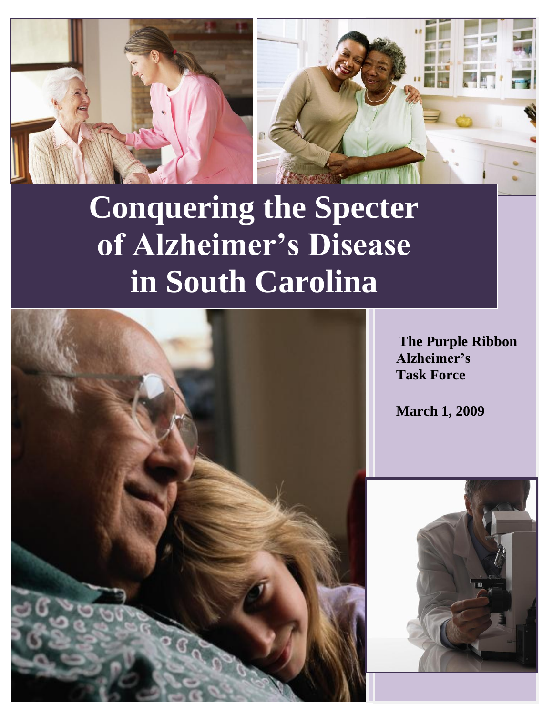



# **Conquering the Specter of Alzheimer's Disease in South Carolina**



**The Purple Ribbon Alzheimer's Task Force**

**March 1, 2009**

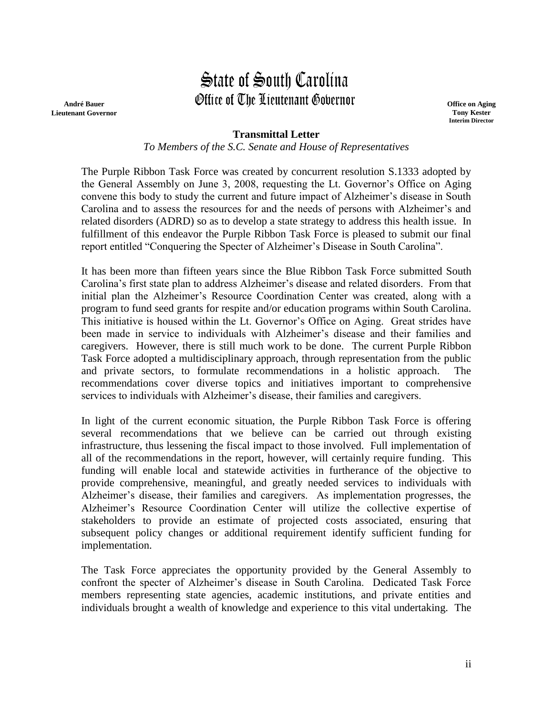# State of South Carolina Office of The Lieutenant Governor

**André Bauer Lieutenant Governor** **Office on Aging Tony Kester Interim Director**

# **Transmittal Letter**

*To Members of the S.C. Senate and House of Representatives*

The Purple Ribbon Task Force was created by concurrent resolution S.1333 adopted by the General Assembly on June 3, 2008, requesting the Lt. Governor's Office on Aging convene this body to study the current and future impact of Alzheimer's disease in South Carolina and to assess the resources for and the needs of persons with Alzheimer's and related disorders (ADRD) so as to develop a state strategy to address this health issue. In fulfillment of this endeavor the Purple Ribbon Task Force is pleased to submit our final report entitled "Conquering the Specter of Alzheimer's Disease in South Carolina".

It has been more than fifteen years since the Blue Ribbon Task Force submitted South Carolina's first state plan to address Alzheimer's disease and related disorders. From that initial plan the Alzheimer's Resource Coordination Center was created, along with a program to fund seed grants for respite and/or education programs within South Carolina. This initiative is housed within the Lt. Governor's Office on Aging. Great strides have been made in service to individuals with Alzheimer's disease and their families and caregivers. However, there is still much work to be done. The current Purple Ribbon Task Force adopted a multidisciplinary approach, through representation from the public and private sectors, to formulate recommendations in a holistic approach. The recommendations cover diverse topics and initiatives important to comprehensive services to individuals with Alzheimer's disease, their families and caregivers.

In light of the current economic situation, the Purple Ribbon Task Force is offering several recommendations that we believe can be carried out through existing infrastructure, thus lessening the fiscal impact to those involved. Full implementation of all of the recommendations in the report, however, will certainly require funding. This funding will enable local and statewide activities in furtherance of the objective to provide comprehensive, meaningful, and greatly needed services to individuals with Alzheimer's disease, their families and caregivers. As implementation progresses, the Alzheimer's Resource Coordination Center will utilize the collective expertise of stakeholders to provide an estimate of projected costs associated, ensuring that subsequent policy changes or additional requirement identify sufficient funding for implementation.

The Task Force appreciates the opportunity provided by the General Assembly to confront the specter of Alzheimer's disease in South Carolina. Dedicated Task Force members representing state agencies, academic institutions, and private entities and individuals brought a wealth of knowledge and experience to this vital undertaking. The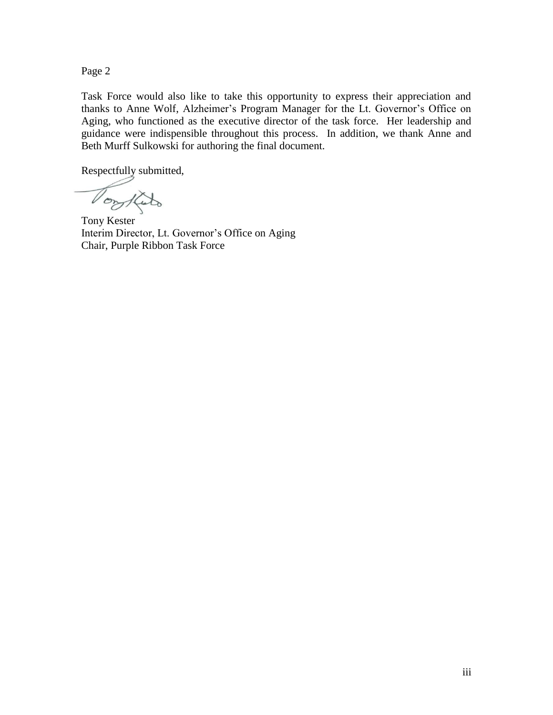Page 2

Task Force would also like to take this opportunity to express their appreciation and thanks to Anne Wolf, Alzheimer's Program Manager for the Lt. Governor's Office on Aging, who functioned as the executive director of the task force. Her leadership and guidance were indispensible throughout this process. In addition, we thank Anne and Beth Murff Sulkowski for authoring the final document.

Respectfully submitted,

Toylato

Tony Kester Interim Director, Lt. Governor's Office on Aging Chair, Purple Ribbon Task Force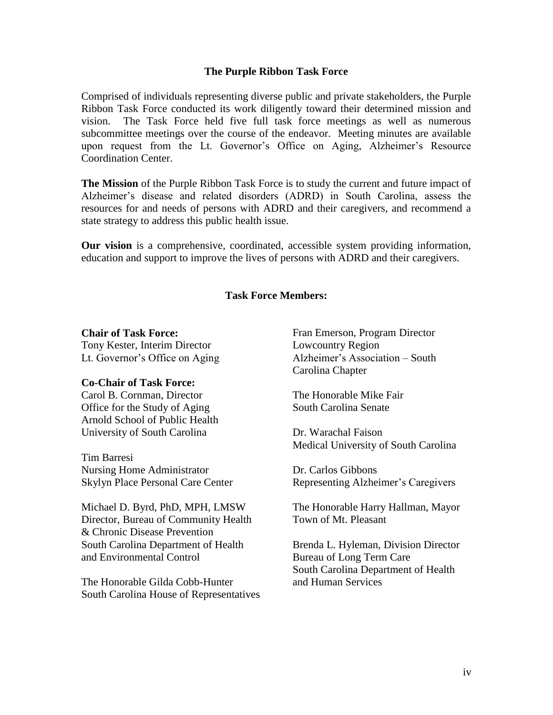#### **The Purple Ribbon Task Force**

Comprised of individuals representing diverse public and private stakeholders, the Purple Ribbon Task Force conducted its work diligently toward their determined mission and vision. The Task Force held five full task force meetings as well as numerous subcommittee meetings over the course of the endeavor. Meeting minutes are available upon request from the Lt. Governor's Office on Aging, Alzheimer's Resource Coordination Center.

**The Mission** of the Purple Ribbon Task Force is to study the current and future impact of Alzheimer's disease and related disorders (ADRD) in South Carolina, assess the resources for and needs of persons with ADRD and their caregivers, and recommend a state strategy to address this public health issue.

**Our vision** is a comprehensive, coordinated, accessible system providing information, education and support to improve the lives of persons with ADRD and their caregivers.

#### **Task Force Members:**

#### **Chair of Task Force:**

Tony Kester, Interim Director Lt. Governor's Office on Aging

#### **Co-Chair of Task Force:**

Carol B. Cornman, Director Office for the Study of Aging Arnold School of Public Health University of South Carolina

Tim Barresi Nursing Home Administrator Skylyn Place Personal Care Center

Michael D. Byrd, PhD, MPH, LMSW Director, Bureau of Community Health & Chronic Disease Prevention South Carolina Department of Health and Environmental Control

The Honorable Gilda Cobb-Hunter South Carolina House of Representatives Fran Emerson, Program Director Lowcountry Region Alzheimer's Association – South Carolina Chapter

The Honorable Mike Fair South Carolina Senate

Dr. Warachal Faison Medical University of South Carolina

Dr. Carlos Gibbons Representing Alzheimer's Caregivers

The Honorable Harry Hallman, Mayor Town of Mt. Pleasant

Brenda L. Hyleman, Division Director Bureau of Long Term Care South Carolina Department of Health and Human Services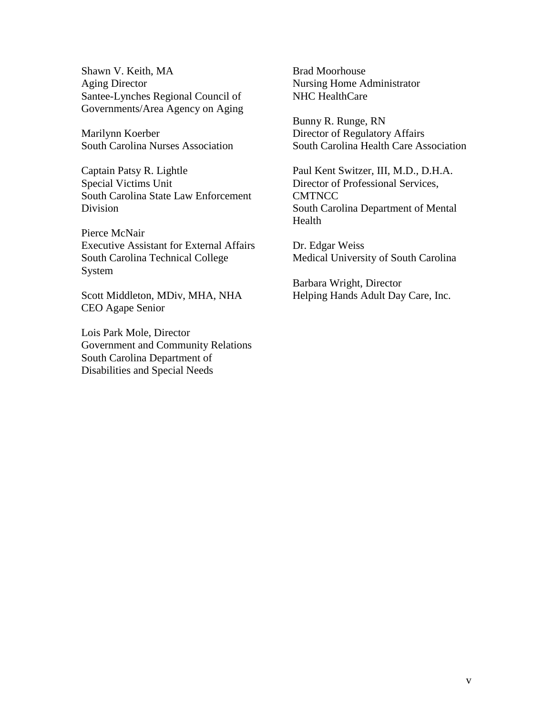Shawn V. Keith, MA Aging Director Santee-Lynches Regional Council of Governments/Area Agency on Aging

Marilynn Koerber South Carolina Nurses Association

Captain Patsy R. Lightle Special Victims Unit South Carolina State Law Enforcement Division

Pierce McNair Executive Assistant for External Affairs South Carolina Technical College System

Scott Middleton, MDiv, MHA, NHA CEO Agape Senior

Lois Park Mole, Director Government and Community Relations South Carolina Department of Disabilities and Special Needs

Brad Moorhouse Nursing Home Administrator NHC HealthCare

Bunny R. Runge, RN Director of Regulatory Affairs South Carolina Health Care Association

Paul Kent Switzer, III, M.D., D.H.A. Director of Professional Services, **CMTNCC** South Carolina Department of Mental Health

Dr. Edgar Weiss Medical University of South Carolina

Barbara Wright, Director Helping Hands Adult Day Care, Inc.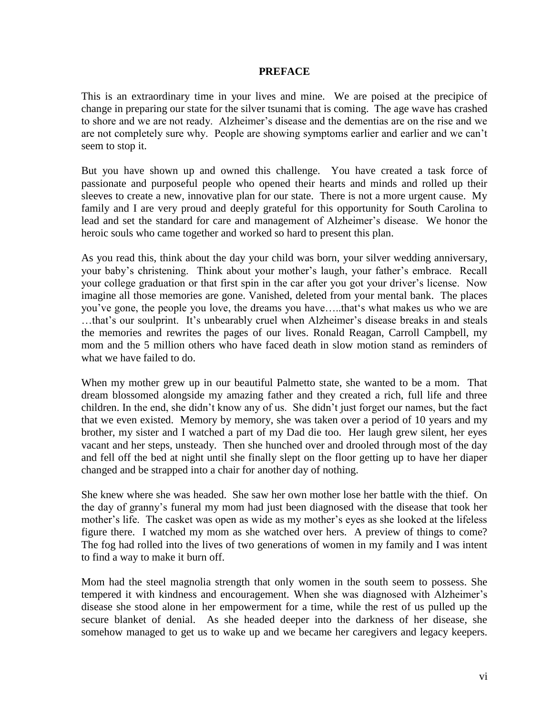#### **PREFACE**

This is an extraordinary time in your lives and mine. We are poised at the precipice of change in preparing our state for the silver tsunami that is coming. The age wave has crashed to shore and we are not ready. Alzheimer's disease and the dementias are on the rise and we are not completely sure why. People are showing symptoms earlier and earlier and we can't seem to stop it.

But you have shown up and owned this challenge. You have created a task force of passionate and purposeful people who opened their hearts and minds and rolled up their sleeves to create a new, innovative plan for our state. There is not a more urgent cause. My family and I are very proud and deeply grateful for this opportunity for South Carolina to lead and set the standard for care and management of Alzheimer's disease. We honor the heroic souls who came together and worked so hard to present this plan.

As you read this, think about the day your child was born, your silver wedding anniversary, your baby's christening. Think about your mother's laugh, your father's embrace. Recall your college graduation or that first spin in the car after you got your driver's license. Now imagine all those memories are gone. Vanished, deleted from your mental bank. The places you've gone, the people you love, the dreams you have.....that's what makes us who we are …that's our soulprint. It's unbearably cruel when Alzheimer's disease breaks in and steals the memories and rewrites the pages of our lives. Ronald Reagan, Carroll Campbell, my mom and the 5 million others who have faced death in slow motion stand as reminders of what we have failed to do.

When my mother grew up in our beautiful Palmetto state, she wanted to be a mom. That dream blossomed alongside my amazing father and they created a rich, full life and three children. In the end, she didn't know any of us. She didn't just forget our names, but the fact that we even existed. Memory by memory, she was taken over a period of 10 years and my brother, my sister and I watched a part of my Dad die too. Her laugh grew silent, her eyes vacant and her steps, unsteady. Then she hunched over and drooled through most of the day and fell off the bed at night until she finally slept on the floor getting up to have her diaper changed and be strapped into a chair for another day of nothing.

She knew where she was headed. She saw her own mother lose her battle with the thief. On the day of granny's funeral my mom had just been diagnosed with the disease that took her mother's life. The casket was open as wide as my mother's eyes as she looked at the lifeless figure there. I watched my mom as she watched over hers. A preview of things to come? The fog had rolled into the lives of two generations of women in my family and I was intent to find a way to make it burn off.

Mom had the steel magnolia strength that only women in the south seem to possess. She tempered it with kindness and encouragement. When she was diagnosed with Alzheimer's disease she stood alone in her empowerment for a time, while the rest of us pulled up the secure blanket of denial. As she headed deeper into the darkness of her disease, she somehow managed to get us to wake up and we became her caregivers and legacy keepers.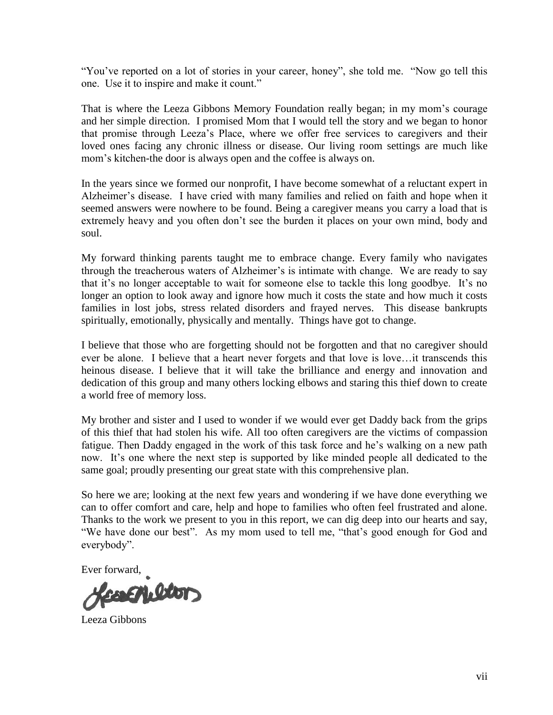"You've reported on a lot of stories in your career, honey", she told me. "Now go tell this one. Use it to inspire and make it count."

That is where the Leeza Gibbons Memory Foundation really began; in my mom's courage and her simple direction. I promised Mom that I would tell the story and we began to honor that promise through Leeza's Place, where we offer free services to caregivers and their loved ones facing any chronic illness or disease. Our living room settings are much like mom's kitchen-the door is always open and the coffee is always on.

In the years since we formed our nonprofit, I have become somewhat of a reluctant expert in Alzheimer's disease. I have cried with many families and relied on faith and hope when it seemed answers were nowhere to be found. Being a caregiver means you carry a load that is extremely heavy and you often don't see the burden it places on your own mind, body and soul.

My forward thinking parents taught me to embrace change. Every family who navigates through the treacherous waters of Alzheimer's is intimate with change. We are ready to say that it's no longer acceptable to wait for someone else to tackle this long goodbye. It's no longer an option to look away and ignore how much it costs the state and how much it costs families in lost jobs, stress related disorders and frayed nerves. This disease bankrupts spiritually, emotionally, physically and mentally. Things have got to change.

I believe that those who are forgetting should not be forgotten and that no caregiver should ever be alone. I believe that a heart never forgets and that love is love…it transcends this heinous disease. I believe that it will take the brilliance and energy and innovation and dedication of this group and many others locking elbows and staring this thief down to create a world free of memory loss.

My brother and sister and I used to wonder if we would ever get Daddy back from the grips of this thief that had stolen his wife. All too often caregivers are the victims of compassion fatigue. Then Daddy engaged in the work of this task force and he's walking on a new path now. It's one where the next step is supported by like minded people all dedicated to the same goal; proudly presenting our great state with this comprehensive plan.

So here we are; looking at the next few years and wondering if we have done everything we can to offer comfort and care, help and hope to families who often feel frustrated and alone. Thanks to the work we present to you in this report, we can dig deep into our hearts and say, "We have done our best". As my mom used to tell me, "that's good enough for God and everybody".

Ever forward,

color

Leeza Gibbons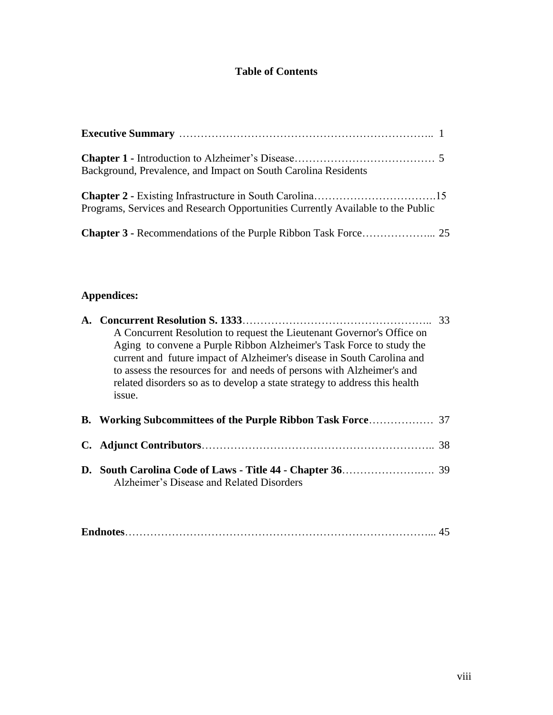# **Table of Contents**

| Background, Prevalence, and Impact on South Carolina Residents                  |  |
|---------------------------------------------------------------------------------|--|
|                                                                                 |  |
| Programs, Services and Research Opportunities Currently Available to the Public |  |
|                                                                                 |  |

# **Appendices:**

| A Concurrent Resolution to request the Lieutenant Governor's Office on<br>Aging to convene a Purple Ribbon Alzheimer's Task Force to study the<br>current and future impact of Alzheimer's disease in South Carolina and<br>to assess the resources for and needs of persons with Alzheimer's and<br>related disorders so as to develop a state strategy to address this health<br>issue. | 33 |
|-------------------------------------------------------------------------------------------------------------------------------------------------------------------------------------------------------------------------------------------------------------------------------------------------------------------------------------------------------------------------------------------|----|
|                                                                                                                                                                                                                                                                                                                                                                                           |    |
|                                                                                                                                                                                                                                                                                                                                                                                           | 38 |
| Alzheimer's Disease and Related Disorders                                                                                                                                                                                                                                                                                                                                                 |    |

|--|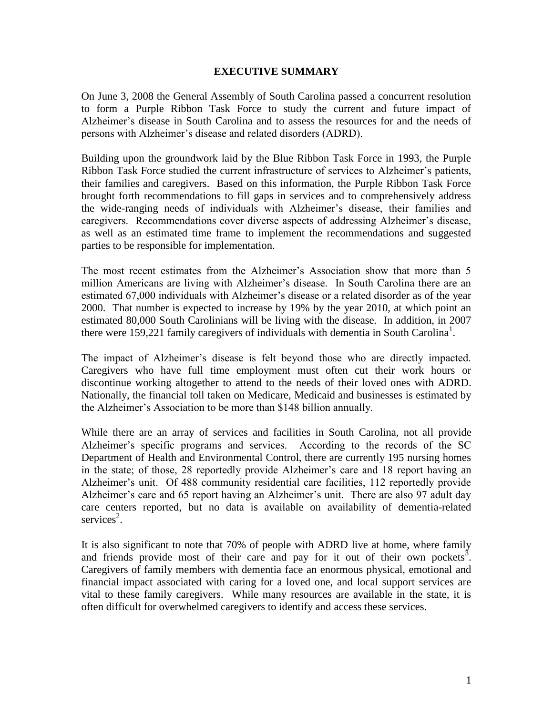#### **EXECUTIVE SUMMARY**

On June 3, 2008 the General Assembly of South Carolina passed a concurrent resolution to form a Purple Ribbon Task Force to study the current and future impact of Alzheimer's disease in South Carolina and to assess the resources for and the needs of persons with Alzheimer's disease and related disorders (ADRD).

Building upon the groundwork laid by the Blue Ribbon Task Force in 1993, the Purple Ribbon Task Force studied the current infrastructure of services to Alzheimer's patients, their families and caregivers. Based on this information, the Purple Ribbon Task Force brought forth recommendations to fill gaps in services and to comprehensively address the wide-ranging needs of individuals with Alzheimer's disease, their families and caregivers. Recommendations cover diverse aspects of addressing Alzheimer's disease, as well as an estimated time frame to implement the recommendations and suggested parties to be responsible for implementation.

The most recent estimates from the Alzheimer's Association show that more than 5 million Americans are living with Alzheimer's disease. In South Carolina there are an estimated 67,000 individuals with Alzheimer's disease or a related disorder as of the year 2000. That number is expected to increase by 19% by the year 2010, at which point an estimated 80,000 South Carolinians will be living with the disease. In addition, in 2007 there were 159,221 family caregivers of individuals with dementia in South Carolina<sup>1</sup>.

The impact of Alzheimer's disease is felt beyond those who are directly impacted. Caregivers who have full time employment must often cut their work hours or discontinue working altogether to attend to the needs of their loved ones with ADRD. Nationally, the financial toll taken on Medicare, Medicaid and businesses is estimated by the Alzheimer's Association to be more than \$148 billion annually.

While there are an array of services and facilities in South Carolina, not all provide Alzheimer's specific programs and services. According to the records of the SC Department of Health and Environmental Control, there are currently 195 nursing homes in the state; of those, 28 reportedly provide Alzheimer's care and 18 report having an Alzheimer's unit. Of 488 community residential care facilities, 112 reportedly provide Alzheimer's care and 65 report having an Alzheimer's unit. There are also 97 adult day care centers reported, but no data is available on availability of dementia-related services<sup>2</sup>.

It is also significant to note that 70% of people with ADRD live at home, where family and friends provide most of their care and pay for it out of their own pockets<sup>3</sup>. Caregivers of family members with dementia face an enormous physical, emotional and financial impact associated with caring for a loved one, and local support services are vital to these family caregivers. While many resources are available in the state, it is often difficult for overwhelmed caregivers to identify and access these services.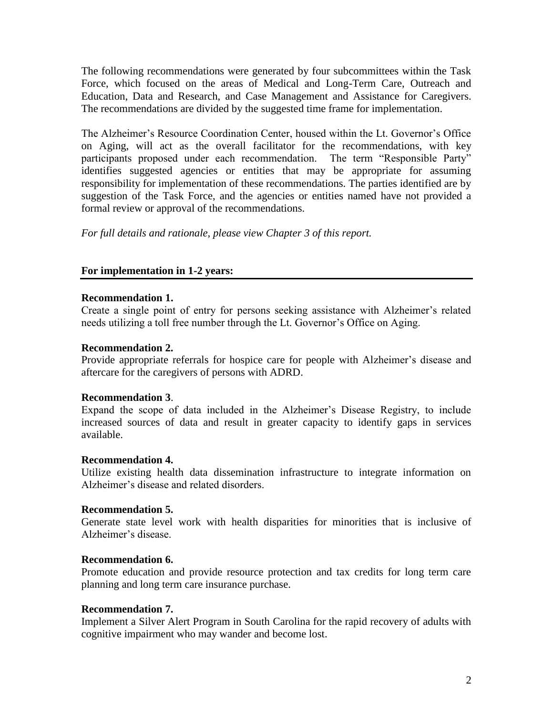The following recommendations were generated by four subcommittees within the Task Force, which focused on the areas of Medical and Long-Term Care, Outreach and Education, Data and Research, and Case Management and Assistance for Caregivers. The recommendations are divided by the suggested time frame for implementation.

The Alzheimer's Resource Coordination Center, housed within the Lt. Governor's Office on Aging, will act as the overall facilitator for the recommendations, with key participants proposed under each recommendation. The term "Responsible Party" identifies suggested agencies or entities that may be appropriate for assuming responsibility for implementation of these recommendations. The parties identified are by suggestion of the Task Force, and the agencies or entities named have not provided a formal review or approval of the recommendations.

*For full details and rationale, please view Chapter 3 of this report.*

# **For implementation in 1-2 years:**

# **Recommendation 1.**

Create a single point of entry for persons seeking assistance with Alzheimer's related needs utilizing a toll free number through the Lt. Governor's Office on Aging.

# **Recommendation 2.**

Provide appropriate referrals for hospice care for people with Alzheimer's disease and aftercare for the caregivers of persons with ADRD.

# **Recommendation 3**.

Expand the scope of data included in the Alzheimer's Disease Registry, to include increased sources of data and result in greater capacity to identify gaps in services available.

# **Recommendation 4.**

Utilize existing health data dissemination infrastructure to integrate information on Alzheimer's disease and related disorders.

# **Recommendation 5.**

Generate state level work with health disparities for minorities that is inclusive of Alzheimer's disease.

# **Recommendation 6.**

Promote education and provide resource protection and tax credits for long term care planning and long term care insurance purchase.

# **Recommendation 7.**

Implement a Silver Alert Program in South Carolina for the rapid recovery of adults with cognitive impairment who may wander and become lost.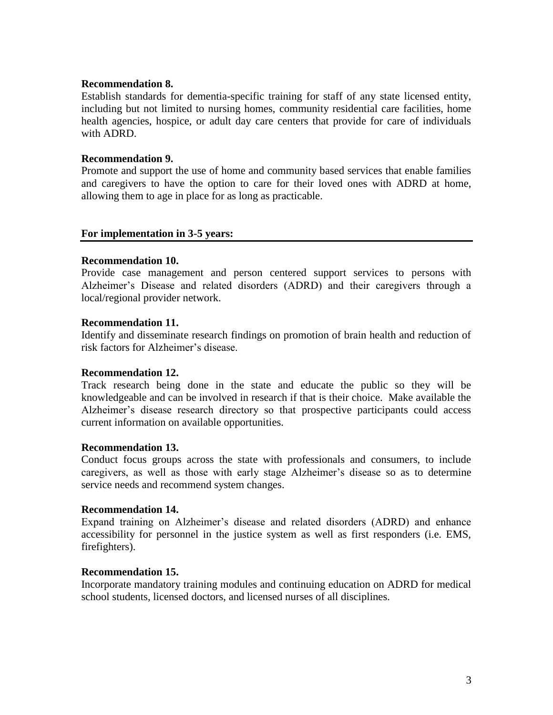#### **Recommendation 8.**

Establish standards for dementia-specific training for staff of any state licensed entity, including but not limited to nursing homes, community residential care facilities, home health agencies, hospice, or adult day care centers that provide for care of individuals with ADRD.

#### **Recommendation 9.**

Promote and support the use of home and community based services that enable families and caregivers to have the option to care for their loved ones with ADRD at home, allowing them to age in place for as long as practicable.

#### **For implementation in 3-5 years:**

#### **Recommendation 10.**

Provide case management and person centered support services to persons with Alzheimer's Disease and related disorders (ADRD) and their caregivers through a local/regional provider network.

#### **Recommendation 11.**

Identify and disseminate research findings on promotion of brain health and reduction of risk factors for Alzheimer's disease.

#### **Recommendation 12.**

Track research being done in the state and educate the public so they will be knowledgeable and can be involved in research if that is their choice. Make available the Alzheimer's disease research directory so that prospective participants could access current information on available opportunities.

#### **Recommendation 13.**

Conduct focus groups across the state with professionals and consumers, to include caregivers, as well as those with early stage Alzheimer's disease so as to determine service needs and recommend system changes.

#### **Recommendation 14.**

Expand training on Alzheimer's disease and related disorders (ADRD) and enhance accessibility for personnel in the justice system as well as first responders (i.e. EMS, firefighters).

#### **Recommendation 15.**

Incorporate mandatory training modules and continuing education on ADRD for medical school students, licensed doctors, and licensed nurses of all disciplines.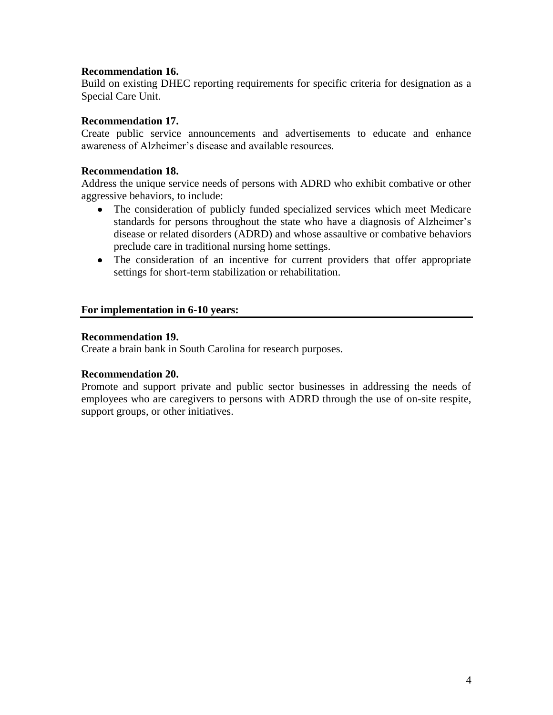# **Recommendation 16.**

Build on existing DHEC reporting requirements for specific criteria for designation as a Special Care Unit.

#### **Recommendation 17.**

Create public service announcements and advertisements to educate and enhance awareness of Alzheimer's disease and available resources.

#### **Recommendation 18.**

Address the unique service needs of persons with ADRD who exhibit combative or other aggressive behaviors, to include:

- The consideration of publicly funded specialized services which meet Medicare standards for persons throughout the state who have a diagnosis of Alzheimer's disease or related disorders (ADRD) and whose assaultive or combative behaviors preclude care in traditional nursing home settings.
- The consideration of an incentive for current providers that offer appropriate settings for short-term stabilization or rehabilitation.

#### **For implementation in 6-10 years:**

#### **Recommendation 19.**

Create a brain bank in South Carolina for research purposes.

#### **Recommendation 20.**

Promote and support private and public sector businesses in addressing the needs of employees who are caregivers to persons with ADRD through the use of on-site respite, support groups, or other initiatives.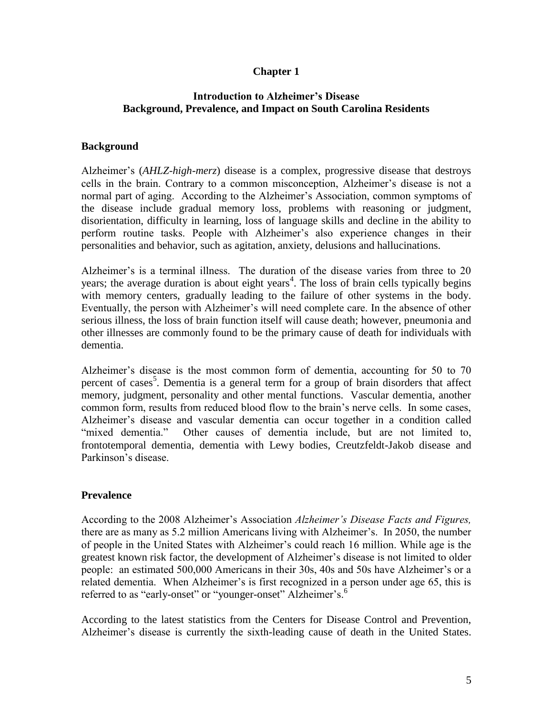# **Chapter 1**

# **Introduction to Alzheimer's Disease Background, Prevalence, and Impact on South Carolina Residents**

# **Background**

Alzheimer's (*AHLZ-high-merz*) disease is a complex, progressive disease that destroys cells in the brain. Contrary to a common misconception, Alzheimer's disease is not a normal part of aging. According to the Alzheimer's Association, common symptoms of the disease include gradual memory loss, problems with reasoning or judgment, disorientation, difficulty in learning, loss of language skills and decline in the ability to perform routine tasks. People with Alzheimer's also experience changes in their personalities and behavior, such as agitation, anxiety, delusions and hallucinations.

Alzheimer's is a terminal illness. The duration of the disease varies from three to 20 years; the average duration is about eight years<sup>4</sup>. The loss of brain cells typically begins with memory centers, gradually leading to the failure of other systems in the body. Eventually, the person with Alzheimer's will need complete care. In the absence of other serious illness, the loss of brain function itself will cause death; however, pneumonia and other illnesses are commonly found to be the primary cause of death for individuals with dementia.

Alzheimer's disease is the most common form of dementia, accounting for 50 to 70 percent of cases<sup>5</sup>. Dementia is a general term for a group of brain disorders that affect memory, judgment, personality and other mental functions. Vascular dementia, another common form, results from reduced blood flow to the brain's nerve cells. In some cases, Alzheimer's disease and vascular dementia can occur together in a condition called "mixed dementia." Other causes of dementia include, but are not limited to, frontotemporal dementia, dementia with Lewy bodies, Creutzfeldt-Jakob disease and Parkinson's disease.

#### **Prevalence**

According to the 2008 Alzheimer's Association *Alzheimer's Disease Facts and Figures,* there are as many as 5.2 million Americans living with Alzheimer's. In 2050, the number of people in the United States with Alzheimer's could reach 16 million. While age is the greatest known risk factor, the development of Alzheimer's disease is not limited to older people: an estimated 500,000 Americans in their 30s, 40s and 50s have Alzheimer's or a related dementia. When Alzheimer's is first recognized in a person under age 65, this is referred to as "early-onset" or "younger-onset" Alzheimer's.<sup>6</sup>

According to the latest statistics from the Centers for Disease Control and Prevention, Alzheimer's disease is currently the sixth-leading cause of death in the United States.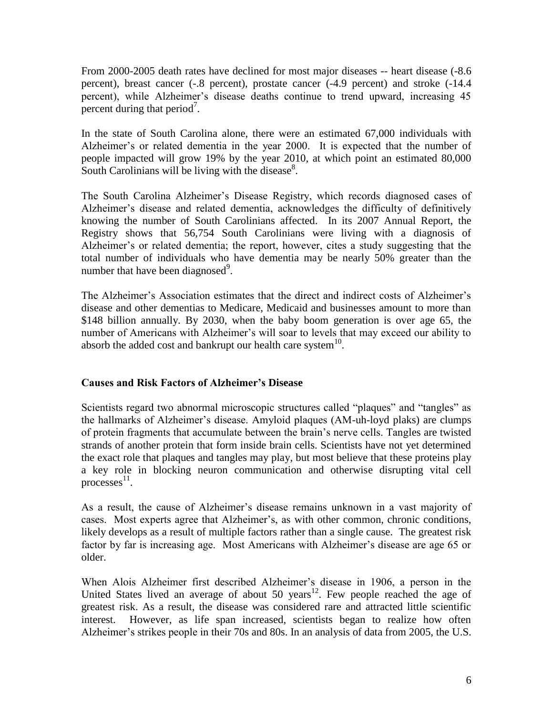From 2000-2005 death rates have declined for most major diseases -- heart disease (-8.6 percent), breast cancer (-.8 percent), prostate cancer (-4.9 percent) and stroke (-14.4 percent), while Alzheimer's disease deaths continue to trend upward, increasing 45 percent during that period<sup>7</sup>.

In the state of South Carolina alone, there were an estimated 67,000 individuals with Alzheimer's or related dementia in the year 2000. It is expected that the number of people impacted will grow 19% by the year 2010, at which point an estimated 80,000 South Carolinians will be living with the disease $8$ .

The South Carolina Alzheimer's Disease Registry, which records diagnosed cases of Alzheimer's disease and related dementia, acknowledges the difficulty of definitively knowing the number of South Carolinians affected. In its 2007 Annual Report, the Registry shows that 56,754 South Carolinians were living with a diagnosis of Alzheimer's or related dementia; the report, however, cites a study suggesting that the total number of individuals who have dementia may be nearly 50% greater than the number that have been diagnosed $^9$ .

The Alzheimer's Association estimates that the direct and indirect costs of Alzheimer's disease and other dementias to Medicare, Medicaid and businesses amount to more than \$148 billion annually. By 2030, when the baby boom generation is over age 65, the number of Americans with Alzheimer's will soar to levels that may exceed our ability to absorb the added cost and bankrupt our health care system $^{10}$ .

# **Causes and Risk Factors of Alzheimer's Disease**

Scientists regard two abnormal microscopic structures called "plaques" and "tangles" as the hallmarks of Alzheimer's disease. Amyloid plaques (AM-uh-loyd plaks) are clumps of protein fragments that accumulate between the brain's nerve cells. Tangles are twisted strands of another protein that form inside brain cells. Scientists have not yet determined the exact role that plaques and tangles may play, but most believe that these proteins play a key role in blocking neuron communication and otherwise disrupting vital cell processes<sup>11</sup>.

As a result, the cause of Alzheimer's disease remains unknown in a vast majority of cases. Most experts agree that Alzheimer's, as with other common, chronic conditions, likely develops as a result of multiple factors rather than a single cause. The greatest risk factor by far is increasing age. Most Americans with Alzheimer's disease are age 65 or older.

When Alois Alzheimer first described Alzheimer's disease in 1906, a person in the United States lived an average of about 50 years<sup>12</sup>. Few people reached the age of greatest risk. As a result, the disease was considered rare and attracted little scientific interest. However, as life span increased, scientists began to realize how often Alzheimer's strikes people in their 70s and 80s. In an analysis of data from 2005, the U.S.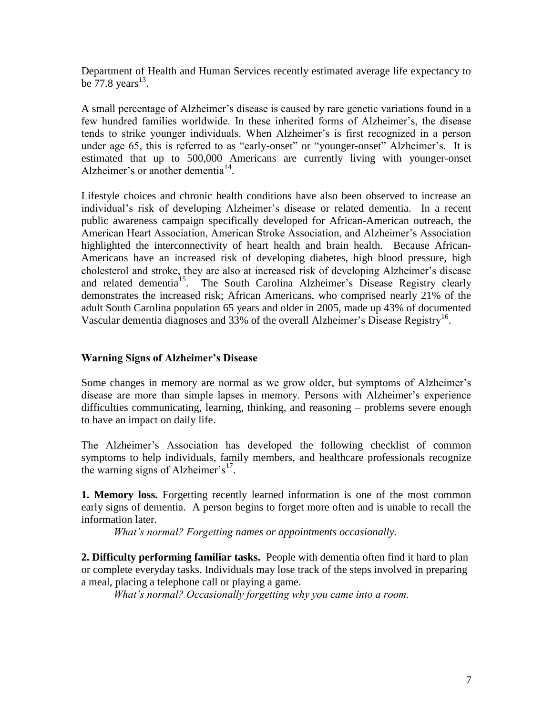Department of Health and Human Services recently estimated average life expectancy to be  $77.8 \text{ years}^{13}$ .

A small percentage of Alzheimer's disease is caused by rare genetic variations found in a few hundred families worldwide. In these inherited forms of Alzheimer's, the disease tends to strike younger individuals. When Alzheimer's is first recognized in a person under age 65, this is referred to as "early-onset" or "younger-onset" Alzheimer's. It is estimated that up to 500,000 Americans are currently living with younger-onset Alzheimer's or another dementia<sup>14</sup>.

Lifestyle choices and chronic health conditions have also been observed to increase an individual's risk of developing Alzheimer's disease or related dementia. In a recent public awareness campaign specifically developed for African-American outreach, the American Heart Association, American Stroke Association, and Alzheimer's Association highlighted the interconnectivity of heart health and brain health. Because African-Americans have an increased risk of developing diabetes, high blood pressure, high cholesterol and stroke, they are also at increased risk of developing Alzheimer's disease and related dementia<sup>15</sup>. The South Carolina Alzheimer's Disease Registry clearly demonstrates the increased risk; African Americans, who comprised nearly 21% of the adult South Carolina population 65 years and older in 2005, made up 43% of documented Vascular dementia diagnoses and 33% of the overall Alzheimer's Disease Registry<sup>16</sup>.

#### **Warning Signs of Alzheimer's Disease**

Some changes in memory are normal as we grow older, but symptoms of Alzheimer's disease are more than simple lapses in memory. Persons with Alzheimer's experience difficulties communicating, learning, thinking, and reasoning – problems severe enough to have an impact on daily life.

The Alzheimer's Association has developed the following checklist of common symptoms to help individuals, family members, and healthcare professionals recognize the warning signs of Alzheimer's $17$ .

**1. Memory loss.** Forgetting recently learned information is one of the most common early signs of dementia. A person begins to forget more often and is unable to recall the information later.

*What's normal? Forgetting names or appointments occasionally.*

**2. Difficulty performing familiar tasks.** People with dementia often find it hard to plan or complete everyday tasks. Individuals may lose track of the steps involved in preparing a meal, placing a telephone call or playing a game.

*What's normal? Occasionally forgetting why you came into a room.*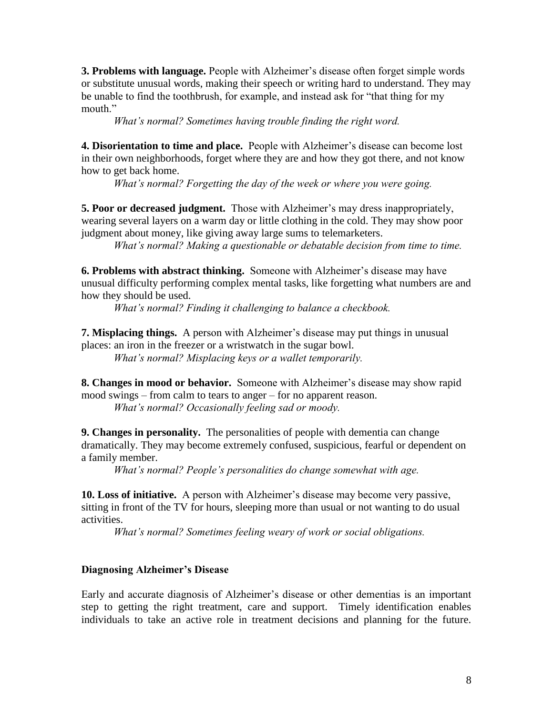**3. Problems with language.** People with Alzheimer's disease often forget simple words or substitute unusual words, making their speech or writing hard to understand. They may be unable to find the toothbrush, for example, and instead ask for "that thing for my mouth."

*What's normal? Sometimes having trouble finding the right word.*

**4. Disorientation to time and place.** People with Alzheimer's disease can become lost in their own neighborhoods, forget where they are and how they got there, and not know how to get back home.

*What's normal? Forgetting the day of the week or where you were going.*

**5. Poor or decreased judgment.** Those with Alzheimer's may dress inappropriately, wearing several layers on a warm day or little clothing in the cold. They may show poor judgment about money, like giving away large sums to telemarketers.

*What's normal? Making a questionable or debatable decision from time to time.*

**6. Problems with abstract thinking.** Someone with Alzheimer's disease may have unusual difficulty performing complex mental tasks, like forgetting what numbers are and how they should be used.

*What's normal? Finding it challenging to balance a checkbook.*

**7. Misplacing things.** A person with Alzheimer's disease may put things in unusual places: an iron in the freezer or a wristwatch in the sugar bowl.

*What's normal? Misplacing keys or a wallet temporarily.*

**8. Changes in mood or behavior.** Someone with Alzheimer's disease may show rapid mood swings – from calm to tears to anger – for no apparent reason. *What's normal? Occasionally feeling sad or moody.*

**9. Changes in personality.** The personalities of people with dementia can change dramatically. They may become extremely confused, suspicious, fearful or dependent on a family member.

*What's normal? People's personalities do change somewhat with age.*

**10. Loss of initiative.** A person with Alzheimer's disease may become very passive, sitting in front of the TV for hours, sleeping more than usual or not wanting to do usual activities.

*What's normal? Sometimes feeling weary of work or social obligations.*

#### **Diagnosing Alzheimer's Disease**

Early and accurate diagnosis of Alzheimer's disease or other dementias is an important step to getting the right treatment, care and support. Timely identification enables individuals to take an active role in treatment decisions and planning for the future.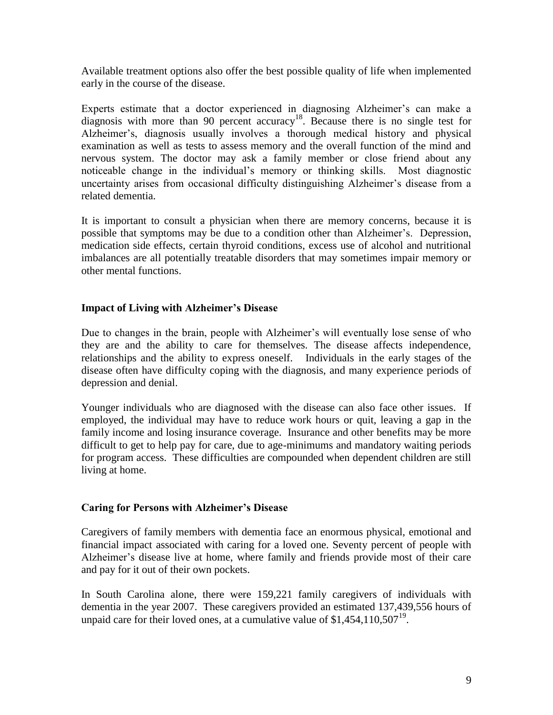Available treatment options also offer the best possible quality of life when implemented early in the course of the disease.

Experts estimate that a doctor experienced in diagnosing Alzheimer's can make a diagnosis with more than 90 percent accuracy<sup>18</sup>. Because there is no single test for Alzheimer's, diagnosis usually involves a thorough medical history and physical examination as well as tests to assess memory and the overall function of the mind and nervous system. The doctor may ask a family member or close friend about any noticeable change in the individual's memory or thinking skills. Most diagnostic uncertainty arises from occasional difficulty distinguishing Alzheimer's disease from a related dementia.

It is important to consult a physician when there are memory concerns, because it is possible that symptoms may be due to a condition other than Alzheimer's. Depression, medication side effects, certain thyroid conditions, excess use of alcohol and nutritional imbalances are all potentially treatable disorders that may sometimes impair memory or other mental functions.

# **Impact of Living with Alzheimer's Disease**

Due to changes in the brain, people with Alzheimer's will eventually lose sense of who they are and the ability to care for themselves. The disease affects independence, relationships and the ability to express oneself. Individuals in the early stages of the disease often have difficulty coping with the diagnosis, and many experience periods of depression and denial.

Younger individuals who are diagnosed with the disease can also face other issues. If employed, the individual may have to reduce work hours or quit, leaving a gap in the family income and losing insurance coverage. Insurance and other benefits may be more difficult to get to help pay for care, due to age-minimums and mandatory waiting periods for program access. These difficulties are compounded when dependent children are still living at home.

#### **Caring for Persons with Alzheimer's Disease**

Caregivers of family members with dementia face an enormous physical, emotional and financial impact associated with caring for a loved one. Seventy percent of people with Alzheimer's disease live at home, where family and friends provide most of their care and pay for it out of their own pockets.

In South Carolina alone, there were 159,221 family caregivers of individuals with dementia in the year 2007. These caregivers provided an estimated 137,439,556 hours of unpaid care for their loved ones, at a cumulative value of  $$1,454,110,507^{19}$ .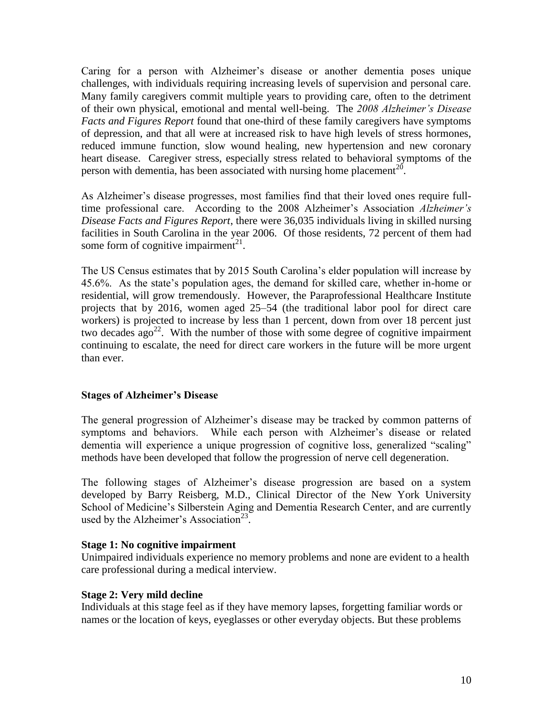Caring for a person with Alzheimer's disease or another dementia poses unique challenges, with individuals requiring increasing levels of supervision and personal care. Many family caregivers commit multiple years to providing care, often to the detriment of their own physical, emotional and mental well-being. The *2008 Alzheimer's Disease Facts and Figures Report* found that one-third of these family caregivers have symptoms of depression, and that all were at increased risk to have high levels of stress hormones, reduced immune function, slow wound healing, new hypertension and new coronary heart disease. Caregiver stress, especially stress related to behavioral symptoms of the person with dementia, has been associated with nursing home placement<sup>20</sup>.

As Alzheimer's disease progresses, most families find that their loved ones require fulltime professional care. According to the 2008 Alzheimer's Association *Alzheimer's Disease Facts and Figures Report*, there were 36,035 individuals living in skilled nursing facilities in South Carolina in the year 2006. Of those residents, 72 percent of them had some form of cognitive impairment<sup>21</sup>.

The US Census estimates that by 2015 South Carolina's elder population will increase by 45.6%. As the state's population ages, the demand for skilled care, whether in-home or residential, will grow tremendously. However, the Paraprofessional Healthcare Institute projects that by 2016, women aged 25–54 (the traditional labor pool for direct care workers) is projected to increase by less than 1 percent, down from over 18 percent just two decades  $ago^{22}$ . With the number of those with some degree of cognitive impairment continuing to escalate, the need for direct care workers in the future will be more urgent than ever.

#### **Stages of Alzheimer's Disease**

The general progression of Alzheimer's disease may be tracked by common patterns of symptoms and behaviors. While each person with Alzheimer's disease or related dementia will experience a unique progression of cognitive loss, generalized "scaling" methods have been developed that follow the progression of nerve cell degeneration.

The following stages of Alzheimer's disease progression are based on a system developed by Barry Reisberg, M.D., Clinical Director of the New York University School of Medicine's Silberstein Aging and Dementia Research Center, and are currently used by the Alzheimer's Association<sup>23</sup>.

#### **Stage 1: No cognitive impairment**

Unimpaired individuals experience no memory problems and none are evident to a health care professional during a medical interview.

#### **Stage 2: Very mild decline**

Individuals at this stage feel as if they have memory lapses, forgetting familiar words or names or the location of keys, eyeglasses or other everyday objects. But these problems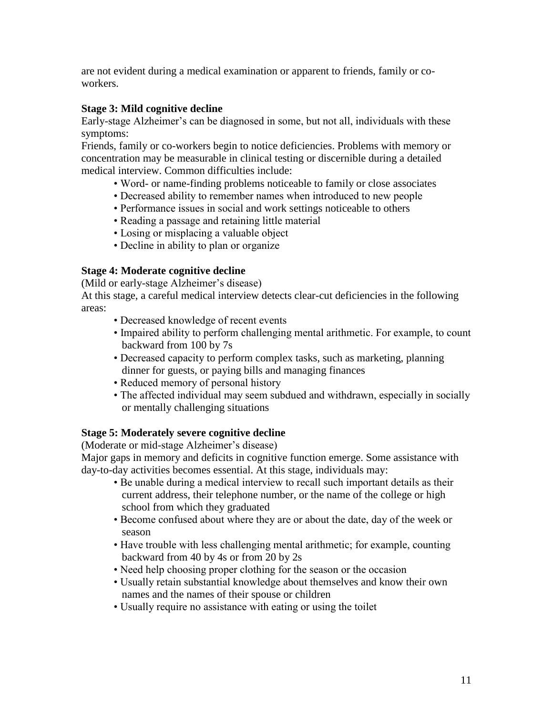are not evident during a medical examination or apparent to friends, family or coworkers.

# **Stage 3: Mild cognitive decline**

Early-stage Alzheimer's can be diagnosed in some, but not all, individuals with these symptoms:

Friends, family or co-workers begin to notice deficiencies. Problems with memory or concentration may be measurable in clinical testing or discernible during a detailed medical interview. Common difficulties include:

- Word- or name-finding problems noticeable to family or close associates
- Decreased ability to remember names when introduced to new people
- Performance issues in social and work settings noticeable to others
- Reading a passage and retaining little material
- Losing or misplacing a valuable object
- Decline in ability to plan or organize

# **Stage 4: Moderate cognitive decline**

(Mild or early-stage Alzheimer's disease)

At this stage, a careful medical interview detects clear-cut deficiencies in the following areas:

- Decreased knowledge of recent events
- Impaired ability to perform challenging mental arithmetic. For example, to count backward from 100 by 7s
- Decreased capacity to perform complex tasks, such as marketing, planning dinner for guests, or paying bills and managing finances
- Reduced memory of personal history
- The affected individual may seem subdued and withdrawn, especially in socially or mentally challenging situations

# **Stage 5: Moderately severe cognitive decline**

(Moderate or mid-stage Alzheimer's disease)

Major gaps in memory and deficits in cognitive function emerge. Some assistance with day-to-day activities becomes essential. At this stage, individuals may:

- Be unable during a medical interview to recall such important details as their current address, their telephone number, or the name of the college or high school from which they graduated
- Become confused about where they are or about the date, day of the week or season
- Have trouble with less challenging mental arithmetic; for example, counting backward from 40 by 4s or from 20 by 2s
- Need help choosing proper clothing for the season or the occasion
- Usually retain substantial knowledge about themselves and know their own names and the names of their spouse or children
- Usually require no assistance with eating or using the toilet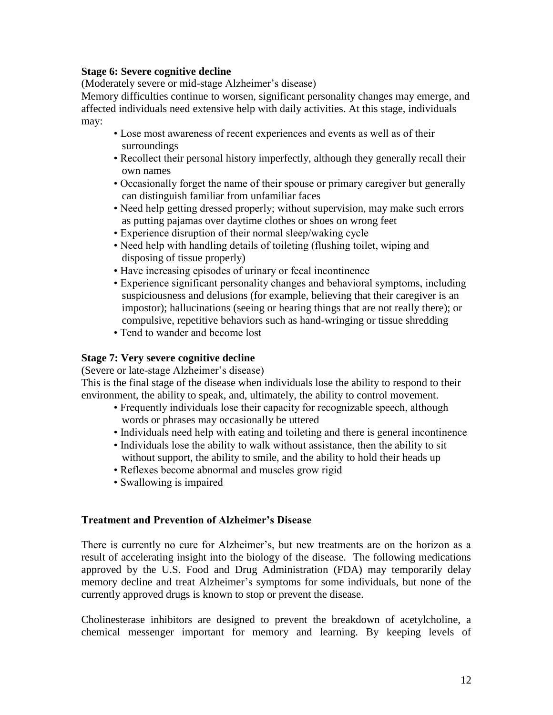# **Stage 6: Severe cognitive decline**

(Moderately severe or mid-stage Alzheimer's disease)

Memory difficulties continue to worsen, significant personality changes may emerge, and affected individuals need extensive help with daily activities. At this stage, individuals may:

- Lose most awareness of recent experiences and events as well as of their surroundings
- Recollect their personal history imperfectly, although they generally recall their own names
- Occasionally forget the name of their spouse or primary caregiver but generally can distinguish familiar from unfamiliar faces
- Need help getting dressed properly; without supervision, may make such errors as putting pajamas over daytime clothes or shoes on wrong feet
- Experience disruption of their normal sleep/waking cycle
- Need help with handling details of toileting (flushing toilet, wiping and disposing of tissue properly)
- Have increasing episodes of urinary or fecal incontinence
- Experience significant personality changes and behavioral symptoms, including suspiciousness and delusions (for example, believing that their caregiver is an impostor); hallucinations (seeing or hearing things that are not really there); or compulsive, repetitive behaviors such as hand-wringing or tissue shredding
- Tend to wander and become lost

# **Stage 7: Very severe cognitive decline**

(Severe or late-stage Alzheimer's disease)

This is the final stage of the disease when individuals lose the ability to respond to their environment, the ability to speak, and, ultimately, the ability to control movement.

- Frequently individuals lose their capacity for recognizable speech, although words or phrases may occasionally be uttered
- Individuals need help with eating and toileting and there is general incontinence
- Individuals lose the ability to walk without assistance, then the ability to sit without support, the ability to smile, and the ability to hold their heads up
- Reflexes become abnormal and muscles grow rigid
- Swallowing is impaired

# **Treatment and Prevention of Alzheimer's Disease**

There is currently no cure for Alzheimer's, but new treatments are on the horizon as a result of accelerating insight into the biology of the disease. The following medications approved by the U.S. Food and Drug Administration (FDA) may temporarily delay memory decline and treat Alzheimer's symptoms for some individuals, but none of the currently approved drugs is known to stop or prevent the disease.

Cholinesterase inhibitors are designed to prevent the breakdown of acetylcholine, a chemical messenger important for memory and learning. By keeping levels of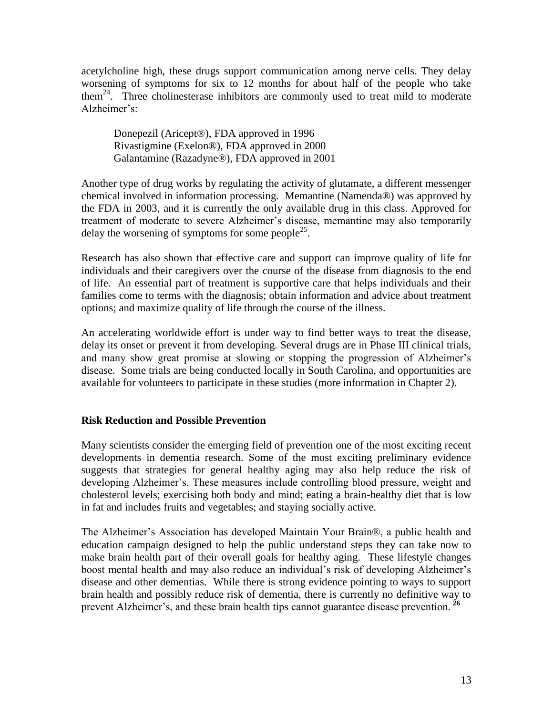acetylcholine high, these drugs support communication among nerve cells. They delay worsening of symptoms for six to 12 months for about half of the people who take them<sup>24</sup>. Three cholinesterase inhibitors are commonly used to treat mild to moderate Alzheimer's:

Donepezil (Aricept®), FDA approved in 1996 Rivastigmine (Exelon®), FDA approved in 2000 Galantamine (Razadyne®), FDA approved in 2001

Another type of drug works by regulating the activity of glutamate, a different messenger chemical involved in information processing. Memantine (Namenda®) was approved by the FDA in 2003, and it is currently the only available drug in this class. Approved for treatment of moderate to severe Alzheimer's disease, memantine may also temporarily delay the worsening of symptoms for some people<sup>25</sup>.

Research has also shown that effective care and support can improve quality of life for individuals and their caregivers over the course of the disease from diagnosis to the end of life. An essential part of treatment is supportive care that helps individuals and their families come to terms with the diagnosis; obtain information and advice about treatment options; and maximize quality of life through the course of the illness.

An accelerating worldwide effort is under way to find better ways to treat the disease, delay its onset or prevent it from developing. Several drugs are in Phase III clinical trials, and many show great promise at slowing or stopping the progression of Alzheimer's disease. Some trials are being conducted locally in South Carolina, and opportunities are available for volunteers to participate in these studies (more information in Chapter 2).

# **Risk Reduction and Possible Prevention**

Many scientists consider the emerging field of prevention one of the most exciting recent developments in dementia research. Some of the most exciting preliminary evidence suggests that strategies for general healthy aging may also help reduce the risk of developing Alzheimer's. These measures include controlling blood pressure, weight and cholesterol levels; exercising both body and mind; eating a brain-healthy diet that is low in fat and includes fruits and vegetables; and staying socially active.

The Alzheimer's Association has developed Maintain Your Brain®, a public health and education campaign designed to help the public understand steps they can take now to make brain health part of their overall goals for healthy aging. These lifestyle changes boost mental health and may also reduce an individual's risk of developing Alzheimer's disease and other dementias. While there is strong evidence pointing to ways to support brain health and possibly reduce risk of dementia, there is currently no definitive way to prevent Alzheimer's, and these brain health tips cannot guarantee disease prevention. **<sup>26</sup>**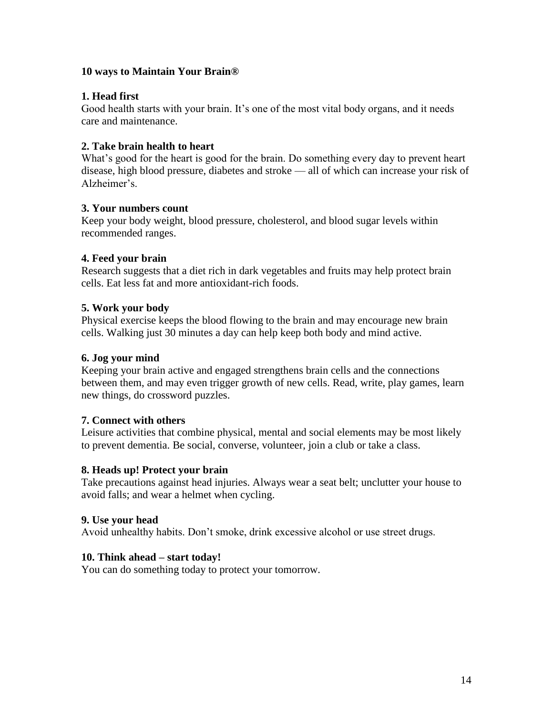# **10 ways to Maintain Your Brain®**

# **1. Head first**

Good health starts with your brain. It's one of the most vital body organs, and it needs care and maintenance.

# **2. Take brain health to heart**

What's good for the heart is good for the brain. Do something every day to prevent heart disease, high blood pressure, diabetes and stroke — all of which can increase your risk of Alzheimer's.

#### **3. Your numbers count**

Keep your body weight, blood pressure, cholesterol, and blood sugar levels within recommended ranges.

# **4. Feed your brain**

Research suggests that a diet rich in dark vegetables and fruits may help protect brain cells. Eat less fat and more antioxidant-rich foods.

# **5. Work your body**

Physical exercise keeps the blood flowing to the brain and may encourage new brain cells. Walking just 30 minutes a day can help keep both body and mind active.

#### **6. Jog your mind**

Keeping your brain active and engaged strengthens brain cells and the connections between them, and may even trigger growth of new cells. Read, write, play games, learn new things, do crossword puzzles.

#### **7. Connect with others**

Leisure activities that combine physical, mental and social elements may be most likely to prevent dementia. Be social, converse, volunteer, join a club or take a class.

#### **8. Heads up! Protect your brain**

Take precautions against head injuries. Always wear a seat belt; unclutter your house to avoid falls; and wear a helmet when cycling.

#### **9. Use your head**

Avoid unhealthy habits. Don't smoke, drink excessive alcohol or use street drugs.

#### **10. Think ahead – start today!**

You can do something today to protect your tomorrow.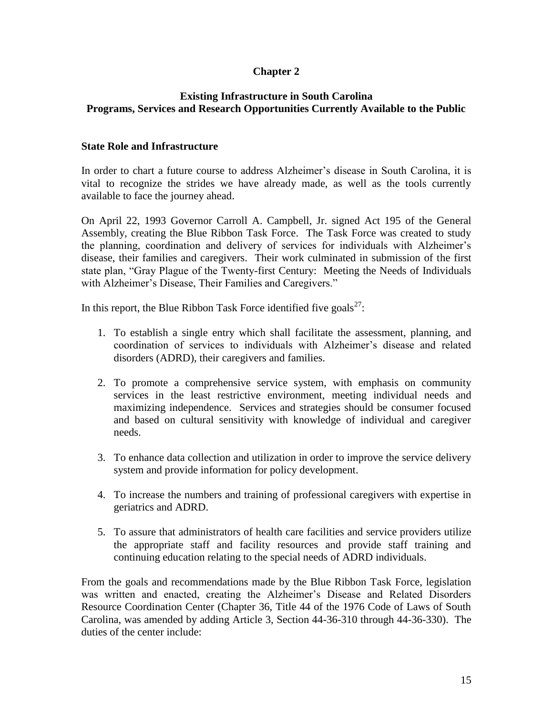# **Chapter 2**

# **Existing Infrastructure in South Carolina Programs, Services and Research Opportunities Currently Available to the Public**

# **State Role and Infrastructure**

In order to chart a future course to address Alzheimer's disease in South Carolina, it is vital to recognize the strides we have already made, as well as the tools currently available to face the journey ahead.

On April 22, 1993 Governor Carroll A. Campbell, Jr. signed Act 195 of the General Assembly, creating the Blue Ribbon Task Force. The Task Force was created to study the planning, coordination and delivery of services for individuals with Alzheimer's disease, their families and caregivers. Their work culminated in submission of the first state plan, "Gray Plague of the Twenty-first Century: Meeting the Needs of Individuals with Alzheimer's Disease, Their Families and Caregivers."

In this report, the Blue Ribbon Task Force identified five goals<sup>27</sup>:

- 1. To establish a single entry which shall facilitate the assessment, planning, and coordination of services to individuals with Alzheimer's disease and related disorders (ADRD), their caregivers and families.
- 2. To promote a comprehensive service system, with emphasis on community services in the least restrictive environment, meeting individual needs and maximizing independence. Services and strategies should be consumer focused and based on cultural sensitivity with knowledge of individual and caregiver needs.
- 3. To enhance data collection and utilization in order to improve the service delivery system and provide information for policy development.
- 4. To increase the numbers and training of professional caregivers with expertise in geriatrics and ADRD.
- 5. To assure that administrators of health care facilities and service providers utilize the appropriate staff and facility resources and provide staff training and continuing education relating to the special needs of ADRD individuals.

From the goals and recommendations made by the Blue Ribbon Task Force, legislation was written and enacted, creating the Alzheimer's Disease and Related Disorders Resource Coordination Center (Chapter 36, Title 44 of the 1976 Code of Laws of South Carolina, was amended by adding Article 3, Section 44-36-310 through 44-36-330). The duties of the center include: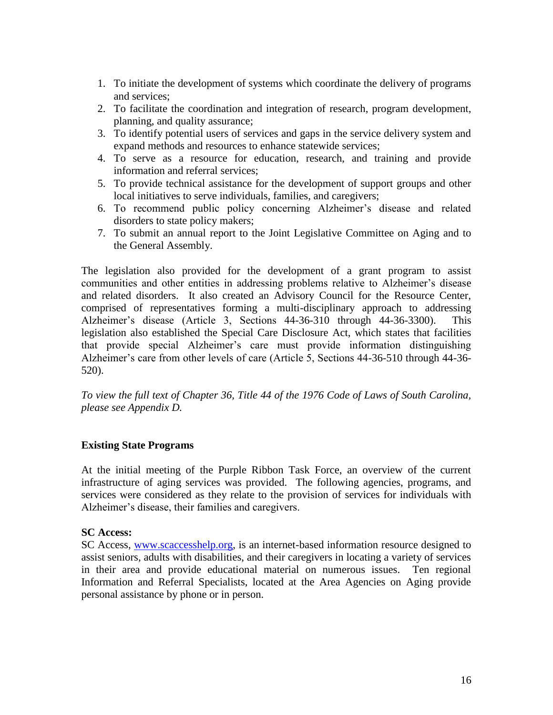- 1. To initiate the development of systems which coordinate the delivery of programs and services;
- 2. To facilitate the coordination and integration of research, program development, planning, and quality assurance;
- 3. To identify potential users of services and gaps in the service delivery system and expand methods and resources to enhance statewide services;
- 4. To serve as a resource for education, research, and training and provide information and referral services;
- 5. To provide technical assistance for the development of support groups and other local initiatives to serve individuals, families, and caregivers;
- 6. To recommend public policy concerning Alzheimer's disease and related disorders to state policy makers;
- 7. To submit an annual report to the Joint Legislative Committee on Aging and to the General Assembly.

The legislation also provided for the development of a grant program to assist communities and other entities in addressing problems relative to Alzheimer's disease and related disorders. It also created an Advisory Council for the Resource Center, comprised of representatives forming a multi-disciplinary approach to addressing Alzheimer's disease (Article 3, Sections 44-36-310 through 44-36-3300). This legislation also established the Special Care Disclosure Act, which states that facilities that provide special Alzheimer's care must provide information distinguishing Alzheimer's care from other levels of care (Article 5, Sections 44-36-510 through 44-36- 520).

*To view the full text of Chapter 36, Title 44 of the 1976 Code of Laws of South Carolina, please see Appendix D.*

# **Existing State Programs**

At the initial meeting of the Purple Ribbon Task Force, an overview of the current infrastructure of aging services was provided. The following agencies, programs, and services were considered as they relate to the provision of services for individuals with Alzheimer's disease, their families and caregivers.

#### **SC Access:**

SC Access, [www.scaccesshelp.org,](http://www.scaccesshelp.org/) is an internet-based information resource designed to assist seniors, adults with disabilities, and their caregivers in locating a variety of services in their area and provide educational material on numerous issues. Ten regional Information and Referral Specialists, located at the Area Agencies on Aging provide personal assistance by phone or in person.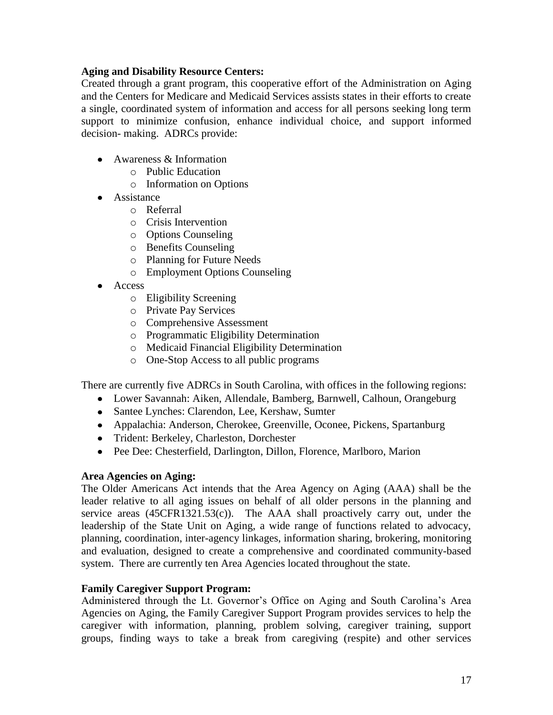# **Aging and Disability Resource Centers:**

Created through a grant program, this cooperative effort of the Administration on Aging and the Centers for Medicare and Medicaid Services assists states in their efforts to create a single, coordinated system of information and access for all persons seeking long term support to minimize confusion, enhance individual choice, and support informed decision- making. ADRCs provide:

- Awareness & Information
	- o Public Education
	- o Information on Options
- **•** Assistance
	- o Referral
	- o Crisis Intervention
	- o Options Counseling
	- o Benefits Counseling
	- o Planning for Future Needs
	- o Employment Options Counseling
- Access
	- o Eligibility Screening
	- o Private Pay Services
	- o Comprehensive Assessment
	- o Programmatic Eligibility Determination
	- o Medicaid Financial Eligibility Determination
	- o One-Stop Access to all public programs

There are currently five ADRCs in South Carolina, with offices in the following regions:

- Lower Savannah: Aiken, Allendale, Bamberg, Barnwell, Calhoun, Orangeburg
- Santee Lynches: Clarendon, Lee, Kershaw, Sumter
- Appalachia: Anderson, Cherokee, Greenville, Oconee, Pickens, Spartanburg
- Trident: Berkeley, Charleston, Dorchester
- Pee Dee: Chesterfield, Darlington, Dillon, Florence, Marlboro, Marion

#### **Area Agencies on Aging:**

The Older Americans Act intends that the Area Agency on Aging (AAA) shall be the leader relative to all aging issues on behalf of all older persons in the planning and service areas  $(45CFR1321.53(c))$ . The AAA shall proactively carry out, under the leadership of the State Unit on Aging, a wide range of functions related to advocacy, planning, coordination, inter-agency linkages, information sharing, brokering, monitoring and evaluation, designed to create a comprehensive and coordinated community-based system. There are currently ten Area Agencies located throughout the state.

#### **Family Caregiver Support Program:**

Administered through the Lt. Governor's Office on Aging and South Carolina's Area Agencies on Aging, the Family Caregiver Support Program provides services to help the caregiver with information, planning, problem solving, caregiver training, support groups, finding ways to take a break from caregiving (respite) and other services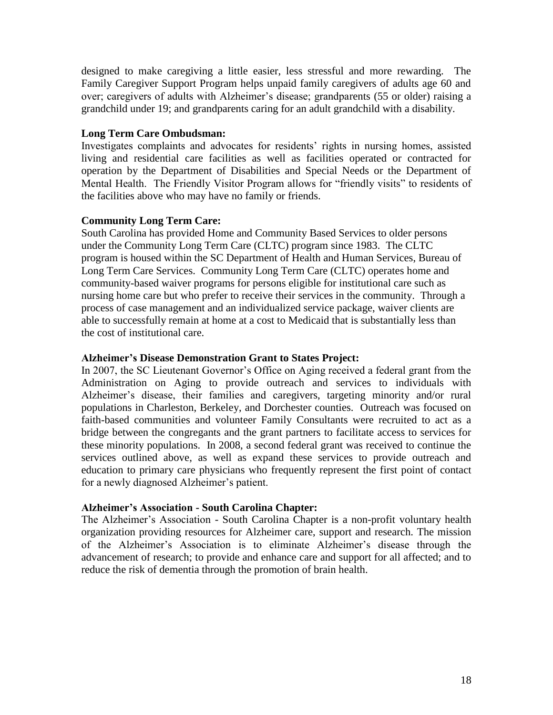designed to make caregiving a little easier, less stressful and more rewarding. The Family Caregiver Support Program helps unpaid family caregivers of adults age 60 and over; caregivers of adults with Alzheimer's disease; grandparents (55 or older) raising a grandchild under 19; and grandparents caring for an adult grandchild with a disability.

# **Long Term Care Ombudsman:**

Investigates complaints and advocates for residents' rights in nursing homes, assisted living and residential care facilities as well as facilities operated or contracted for operation by the Department of Disabilities and Special Needs or the Department of Mental Health. The Friendly Visitor Program allows for "friendly visits" to residents of the facilities above who may have no family or friends.

# **Community Long Term Care:**

South Carolina has provided Home and Community Based Services to older persons under the Community Long Term Care (CLTC) program since 1983. The CLTC program is housed within the SC Department of Health and Human Services, Bureau of Long Term Care Services. Community Long Term Care (CLTC) operates home and community-based waiver programs for persons eligible for institutional care such as nursing home care but who prefer to receive their services in the community. Through a process of case management and an individualized service package, waiver clients are able to successfully remain at home at a cost to Medicaid that is substantially less than the cost of institutional care.

#### **Alzheimer's Disease Demonstration Grant to States Project:**

In 2007, the SC Lieutenant Governor's Office on Aging received a federal grant from the Administration on Aging to provide outreach and services to individuals with Alzheimer's disease, their families and caregivers, targeting minority and/or rural populations in Charleston, Berkeley, and Dorchester counties. Outreach was focused on faith-based communities and volunteer Family Consultants were recruited to act as a bridge between the congregants and the grant partners to facilitate access to services for these minority populations. In 2008, a second federal grant was received to continue the services outlined above, as well as expand these services to provide outreach and education to primary care physicians who frequently represent the first point of contact for a newly diagnosed Alzheimer's patient.

# **Alzheimer's Association - South Carolina Chapter:**

The Alzheimer's Association - South Carolina Chapter is a non-profit voluntary health organization providing resources for Alzheimer care, support and research. The mission of the Alzheimer's Association is to eliminate Alzheimer's disease through the advancement of research; to provide and enhance care and support for all affected; and to reduce the risk of dementia through the promotion of brain health.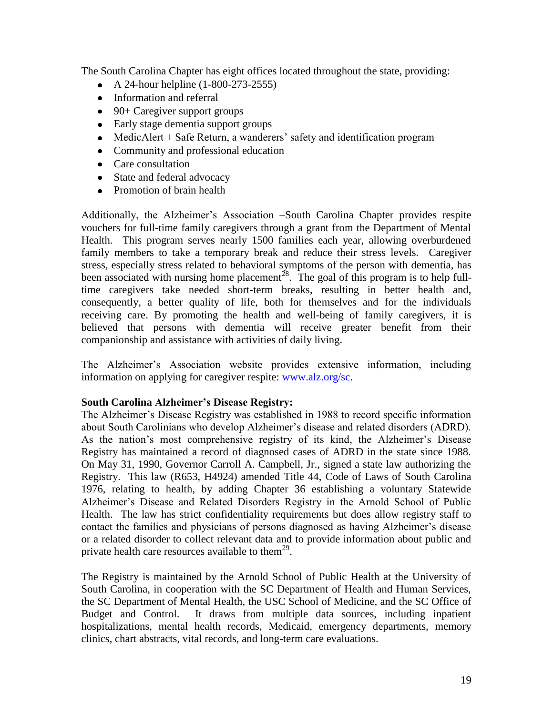The South Carolina Chapter has eight offices located throughout the state, providing:

- A 24-hour helpline  $(1-800-273-2555)$
- Information and referral
- $\bullet$  90+ Caregiver support groups
- Early stage dementia support groups
- MedicAlert + Safe Return, a wanderers' safety and identification program
- Community and professional education
- Care consultation
- State and federal advocacy
- Promotion of brain health

Additionally, the Alzheimer's Association –South Carolina Chapter provides respite vouchers for full-time family caregivers through a grant from the Department of Mental Health. This program serves nearly 1500 families each year, allowing overburdened family members to take a temporary break and reduce their stress levels. Caregiver stress, especially stress related to behavioral symptoms of the person with dementia, has been associated with nursing home placement<sup>28</sup>. The goal of this program is to help fulltime caregivers take needed short-term breaks, resulting in better health and, consequently, a better quality of life, both for themselves and for the individuals receiving care. By promoting the health and well-being of family caregivers, it is believed that persons with dementia will receive greater benefit from their companionship and assistance with activities of daily living.

The Alzheimer's Association website provides extensive information, including information on applying for caregiver respite: [www.alz.org/sc.](http://www.alz.org/sc)

#### **South Carolina Alzheimer's Disease Registry:**

The Alzheimer's Disease Registry was established in 1988 to record specific information about South Carolinians who develop Alzheimer's disease and related disorders (ADRD). As the nation's most comprehensive registry of its kind, the Alzheimer's Disease Registry has maintained a record of diagnosed cases of ADRD in the state since 1988. On May 31, 1990, Governor Carroll A. Campbell, Jr., signed a state law authorizing the Registry. This law (R653, H4924) amended Title 44, Code of Laws of South Carolina 1976, relating to health, by adding Chapter 36 establishing a voluntary Statewide Alzheimer's Disease and Related Disorders Registry in the Arnold School of Public Health. The law has strict confidentiality requirements but does allow registry staff to contact the families and physicians of persons diagnosed as having Alzheimer's disease or a related disorder to collect relevant data and to provide information about public and private health care resources available to them<sup>29</sup>.

The Registry is maintained by the Arnold School of Public Health at the University of South Carolina, in cooperation with the SC Department of Health and Human Services, the SC Department of Mental Health, the USC School of Medicine, and the SC Office of Budget and Control. It draws from multiple data sources, including inpatient hospitalizations, mental health records, Medicaid, emergency departments, memory clinics, chart abstracts, vital records, and long-term care evaluations.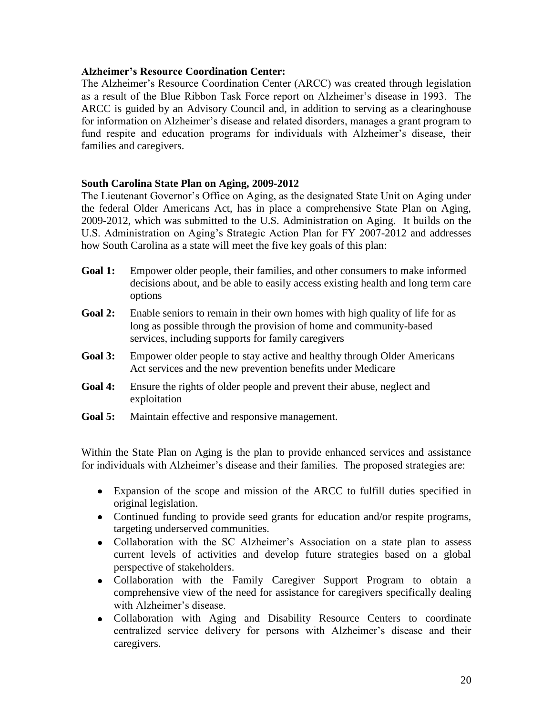# **Alzheimer's Resource Coordination Center:**

The Alzheimer's Resource Coordination Center (ARCC) was created through legislation as a result of the Blue Ribbon Task Force report on Alzheimer's disease in 1993. The ARCC is guided by an Advisory Council and, in addition to serving as a clearinghouse for information on Alzheimer's disease and related disorders, manages a grant program to fund respite and education programs for individuals with Alzheimer's disease, their families and caregivers.

# **South Carolina State Plan on Aging, 2009-2012**

The Lieutenant Governor's Office on Aging, as the designated State Unit on Aging under the federal Older Americans Act, has in place a comprehensive State Plan on Aging, 2009-2012, which was submitted to the U.S. Administration on Aging. It builds on the U.S. Administration on Aging's Strategic Action Plan for FY 2007-2012 and addresses how South Carolina as a state will meet the five key goals of this plan:

- **Goal 1:** Empower older people, their families, and other consumers to make informed decisions about, and be able to easily access existing health and long term care options
- **Goal 2:** Enable seniors to remain in their own homes with high quality of life for as long as possible through the provision of home and community-based services, including supports for family caregivers
- **Goal 3:** Empower older people to stay active and healthy through Older Americans Act services and the new prevention benefits under Medicare
- **Goal 4:** Ensure the rights of older people and prevent their abuse, neglect and exploitation
- **Goal 5:** Maintain effective and responsive management.

Within the State Plan on Aging is the plan to provide enhanced services and assistance for individuals with Alzheimer's disease and their families. The proposed strategies are:

- Expansion of the scope and mission of the ARCC to fulfill duties specified in original legislation.
- Continued funding to provide seed grants for education and/or respite programs, targeting underserved communities.
- Collaboration with the SC Alzheimer's Association on a state plan to assess current levels of activities and develop future strategies based on a global perspective of stakeholders.
- Collaboration with the Family Caregiver Support Program to obtain a comprehensive view of the need for assistance for caregivers specifically dealing with Alzheimer's disease.
- Collaboration with Aging and Disability Resource Centers to coordinate centralized service delivery for persons with Alzheimer's disease and their caregivers.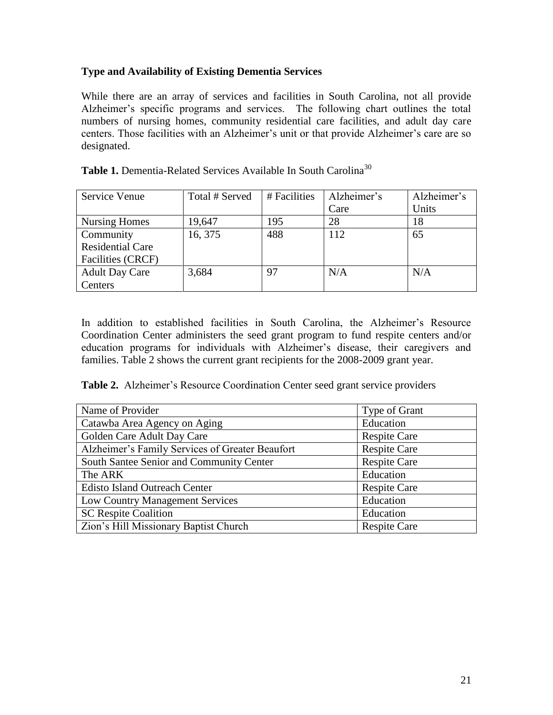# **Type and Availability of Existing Dementia Services**

While there are an array of services and facilities in South Carolina, not all provide Alzheimer's specific programs and services. The following chart outlines the total numbers of nursing homes, community residential care facilities, and adult day care centers. Those facilities with an Alzheimer's unit or that provide Alzheimer's care are so designated.

| Service Venue            | Total # Served | # Facilities | Alzheimer's | Alzheimer's |
|--------------------------|----------------|--------------|-------------|-------------|
|                          |                |              | Care        | Units       |
| <b>Nursing Homes</b>     | 19,647         | 195          | 28          | 18          |
| Community                | 16, 375        | 488          | 112         | 65          |
| <b>Residential Care</b>  |                |              |             |             |
| <b>Facilities (CRCF)</b> |                |              |             |             |
| <b>Adult Day Care</b>    | 3,684          | 97           | N/A         | N/A         |
| Centers                  |                |              |             |             |

Table 1. Dementia-Related Services Available In South Carolina<sup>30</sup>

In addition to established facilities in South Carolina, the Alzheimer's Resource Coordination Center administers the seed grant program to fund respite centers and/or education programs for individuals with Alzheimer's disease, their caregivers and families. Table 2 shows the current grant recipients for the 2008-2009 grant year.

**Table 2.** Alzheimer's Resource Coordination Center seed grant service providers

| Name of Provider                                | Type of Grant       |
|-------------------------------------------------|---------------------|
| Catawba Area Agency on Aging                    | Education           |
| Golden Care Adult Day Care                      | <b>Respite Care</b> |
| Alzheimer's Family Services of Greater Beaufort | <b>Respite Care</b> |
| South Santee Senior and Community Center        | <b>Respite Care</b> |
| The ARK                                         | Education           |
| <b>Edisto Island Outreach Center</b>            | <b>Respite Care</b> |
| <b>Low Country Management Services</b>          | Education           |
| <b>SC Respite Coalition</b>                     | Education           |
| Zion's Hill Missionary Baptist Church           | <b>Respite Care</b> |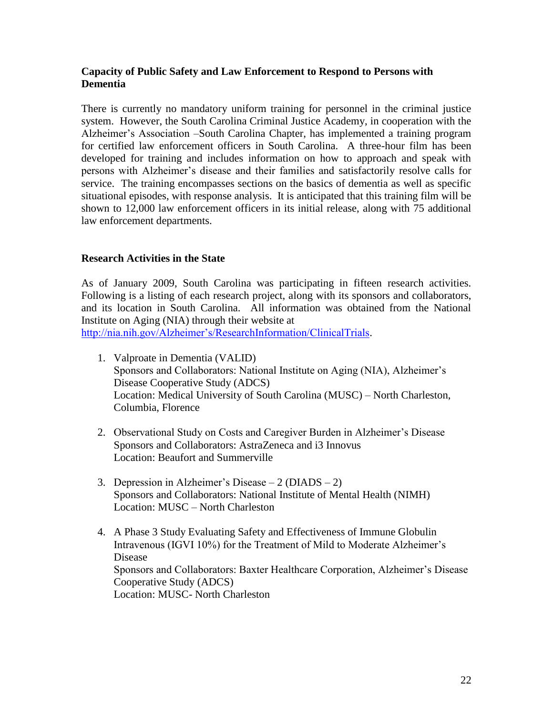# **Capacity of Public Safety and Law Enforcement to Respond to Persons with Dementia**

There is currently no mandatory uniform training for personnel in the criminal justice system. However, the South Carolina Criminal Justice Academy, in cooperation with the Alzheimer's Association –South Carolina Chapter, has implemented a training program for certified law enforcement officers in South Carolina. A three-hour film has been developed for training and includes information on how to approach and speak with persons with Alzheimer's disease and their families and satisfactorily resolve calls for service. The training encompasses sections on the basics of dementia as well as specific situational episodes, with response analysis. It is anticipated that this training film will be shown to 12,000 law enforcement officers in its initial release, along with 75 additional law enforcement departments.

# **Research Activities in the State**

As of January 2009, South Carolina was participating in fifteen research activities. Following is a listing of each research project, along with its sponsors and collaborators, and its location in South Carolina. All information was obtained from the National Institute on Aging (NIA) through their website at

[http://nia.nih.gov/Alzheimer's/ResearchInformation/ClinicalTrials.](http://nia.nih.gov/Alzheimer)

- 1. Valproate in Dementia (VALID) Sponsors and Collaborators: National Institute on Aging (NIA), Alzheimer's Disease Cooperative Study (ADCS) Location: Medical University of South Carolina (MUSC) – North Charleston, Columbia, Florence
- 2. Observational Study on Costs and Caregiver Burden in Alzheimer's Disease Sponsors and Collaborators: AstraZeneca and i3 Innovus Location: Beaufort and Summerville
- 3. Depression in Alzheimer's Disease 2 (DIADS 2) Sponsors and Collaborators: National Institute of Mental Health (NIMH) Location: MUSC – North Charleston
- 4. A Phase 3 Study Evaluating Safety and Effectiveness of Immune Globulin Intravenous (IGVI 10%) for the Treatment of Mild to Moderate Alzheimer's Disease Sponsors and Collaborators: Baxter Healthcare Corporation, Alzheimer's Disease Cooperative Study (ADCS) Location: MUSC- North Charleston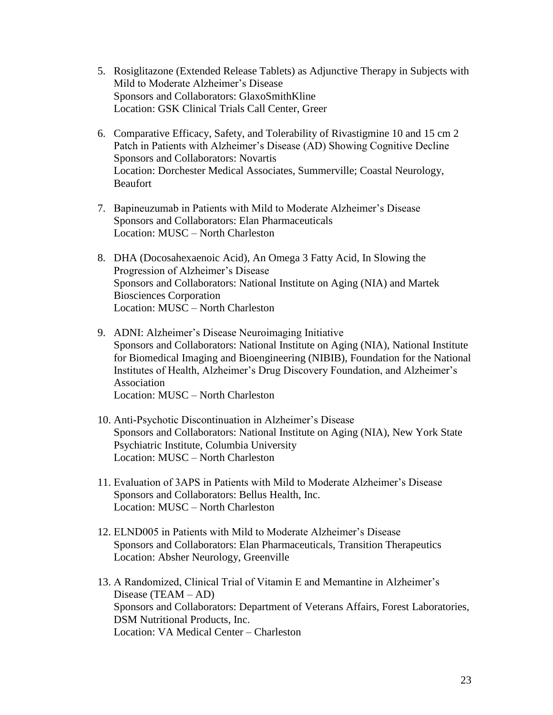- 5. Rosiglitazone (Extended Release Tablets) as Adjunctive Therapy in Subjects with Mild to Moderate Alzheimer's Disease Sponsors and Collaborators: GlaxoSmithKline Location: GSK Clinical Trials Call Center, Greer
- 6. Comparative Efficacy, Safety, and Tolerability of Rivastigmine 10 and 15 cm 2 Patch in Patients with Alzheimer's Disease (AD) Showing Cognitive Decline Sponsors and Collaborators: Novartis Location: Dorchester Medical Associates, Summerville; Coastal Neurology, **Beaufort**
- 7. Bapineuzumab in Patients with Mild to Moderate Alzheimer's Disease Sponsors and Collaborators: Elan Pharmaceuticals Location: MUSC – North Charleston
- 8. DHA (Docosahexaenoic Acid), An Omega 3 Fatty Acid, In Slowing the Progression of Alzheimer's Disease Sponsors and Collaborators: National Institute on Aging (NIA) and Martek Biosciences Corporation Location: MUSC – North Charleston
- 9. ADNI: Alzheimer's Disease Neuroimaging Initiative Sponsors and Collaborators: National Institute on Aging (NIA), National Institute for Biomedical Imaging and Bioengineering (NIBIB), Foundation for the National Institutes of Health, Alzheimer's Drug Discovery Foundation, and Alzheimer's Association Location: MUSC – North Charleston
- 10. Anti-Psychotic Discontinuation in Alzheimer's Disease Sponsors and Collaborators: National Institute on Aging (NIA), New York State Psychiatric Institute, Columbia University Location: MUSC – North Charleston
- 11. Evaluation of 3APS in Patients with Mild to Moderate Alzheimer's Disease Sponsors and Collaborators: Bellus Health, Inc. Location: MUSC – North Charleston
- 12. ELND005 in Patients with Mild to Moderate Alzheimer's Disease Sponsors and Collaborators: Elan Pharmaceuticals, Transition Therapeutics Location: Absher Neurology, Greenville
- 13. A Randomized, Clinical Trial of Vitamin E and Memantine in Alzheimer's Disease (TEAM – AD) Sponsors and Collaborators: Department of Veterans Affairs, Forest Laboratories, DSM Nutritional Products, Inc. Location: VA Medical Center – Charleston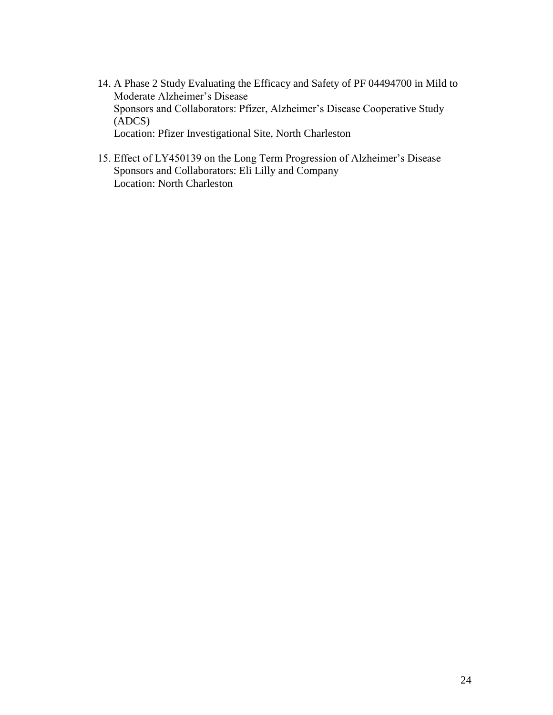- 14. A Phase 2 Study Evaluating the Efficacy and Safety of PF 04494700 in Mild to Moderate Alzheimer's Disease Sponsors and Collaborators: Pfizer, Alzheimer's Disease Cooperative Study (ADCS) Location: Pfizer Investigational Site, North Charleston
- 15. Effect of LY450139 on the Long Term Progression of Alzheimer's Disease Sponsors and Collaborators: Eli Lilly and Company Location: North Charleston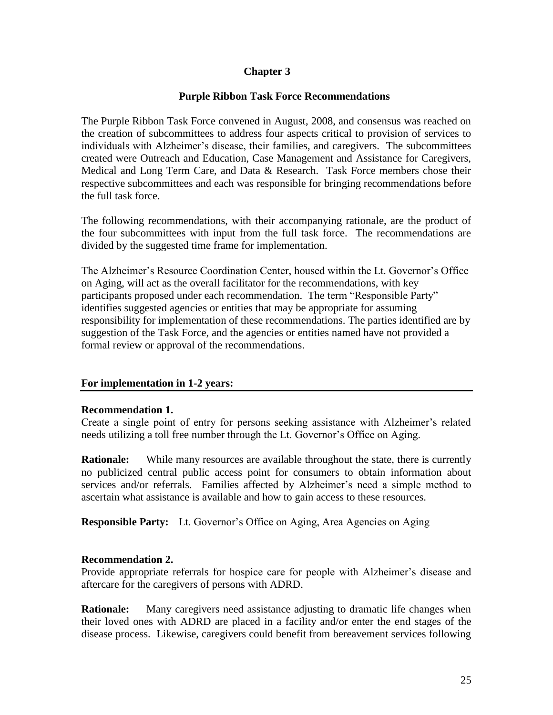# **Chapter 3**

# **Purple Ribbon Task Force Recommendations**

The Purple Ribbon Task Force convened in August, 2008, and consensus was reached on the creation of subcommittees to address four aspects critical to provision of services to individuals with Alzheimer's disease, their families, and caregivers. The subcommittees created were Outreach and Education, Case Management and Assistance for Caregivers, Medical and Long Term Care, and Data & Research. Task Force members chose their respective subcommittees and each was responsible for bringing recommendations before the full task force.

The following recommendations, with their accompanying rationale, are the product of the four subcommittees with input from the full task force. The recommendations are divided by the suggested time frame for implementation.

The Alzheimer's Resource Coordination Center, housed within the Lt. Governor's Office on Aging, will act as the overall facilitator for the recommendations, with key participants proposed under each recommendation. The term "Responsible Party" identifies suggested agencies or entities that may be appropriate for assuming responsibility for implementation of these recommendations. The parties identified are by suggestion of the Task Force, and the agencies or entities named have not provided a formal review or approval of the recommendations.

#### **For implementation in 1-2 years:**

#### **Recommendation 1.**

Create a single point of entry for persons seeking assistance with Alzheimer's related needs utilizing a toll free number through the Lt. Governor's Office on Aging.

**Rationale:** While many resources are available throughout the state, there is currently no publicized central public access point for consumers to obtain information about services and/or referrals. Families affected by Alzheimer's need a simple method to ascertain what assistance is available and how to gain access to these resources.

**Responsible Party:** Lt. Governor's Office on Aging, Area Agencies on Aging

#### **Recommendation 2.**

Provide appropriate referrals for hospice care for people with Alzheimer's disease and aftercare for the caregivers of persons with ADRD.

**Rationale:** Many caregivers need assistance adjusting to dramatic life changes when their loved ones with ADRD are placed in a facility and/or enter the end stages of the disease process. Likewise, caregivers could benefit from bereavement services following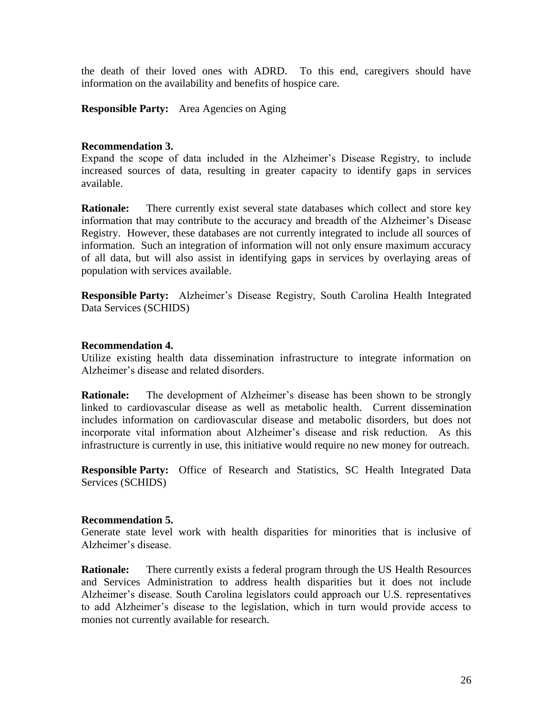the death of their loved ones with ADRD. To this end, caregivers should have information on the availability and benefits of hospice care.

**Responsible Party:** Area Agencies on Aging

#### **Recommendation 3.**

Expand the scope of data included in the Alzheimer's Disease Registry, to include increased sources of data, resulting in greater capacity to identify gaps in services available.

**Rationale:** There currently exist several state databases which collect and store key information that may contribute to the accuracy and breadth of the Alzheimer's Disease Registry. However, these databases are not currently integrated to include all sources of information. Such an integration of information will not only ensure maximum accuracy of all data, but will also assist in identifying gaps in services by overlaying areas of population with services available.

**Responsible Party:** Alzheimer's Disease Registry, South Carolina Health Integrated Data Services (SCHIDS)

#### **Recommendation 4.**

Utilize existing health data dissemination infrastructure to integrate information on Alzheimer's disease and related disorders.

**Rationale:** The development of Alzheimer's disease has been shown to be strongly linked to cardiovascular disease as well as metabolic health. Current dissemination includes information on cardiovascular disease and metabolic disorders, but does not incorporate vital information about Alzheimer's disease and risk reduction. As this infrastructure is currently in use, this initiative would require no new money for outreach.

**Responsible Party:** Office of Research and Statistics, SC Health Integrated Data Services (SCHIDS)

#### **Recommendation 5.**

Generate state level work with health disparities for minorities that is inclusive of Alzheimer's disease.

**Rationale:** There currently exists a federal program through the US Health Resources and Services Administration to address health disparities but it does not include Alzheimer's disease. South Carolina legislators could approach our U.S. representatives to add Alzheimer's disease to the legislation, which in turn would provide access to monies not currently available for research.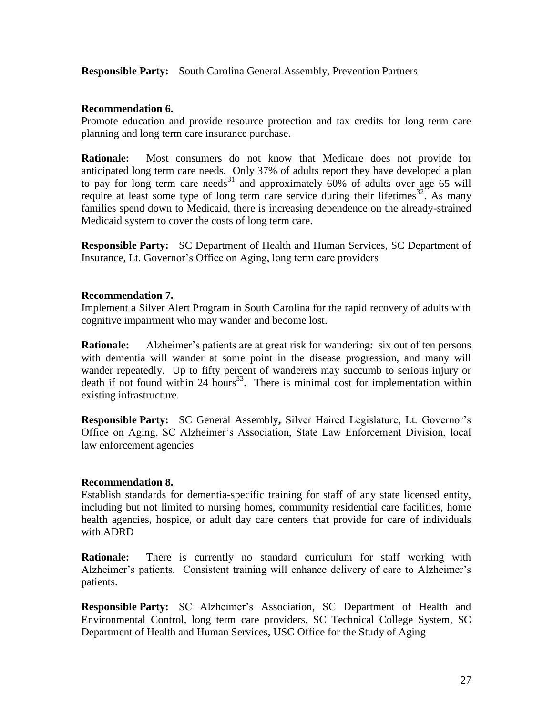**Responsible Party:** South Carolina General Assembly, Prevention Partners

# **Recommendation 6.**

Promote education and provide resource protection and tax credits for long term care planning and long term care insurance purchase.

**Rationale:** Most consumers do not know that Medicare does not provide for anticipated long term care needs. Only 37% of adults report they have developed a plan to pay for long term care needs<sup>31</sup> and approximately 60% of adults over age 65 will require at least some type of long term care service during their lifetimes  $32$ . As many families spend down to Medicaid, there is increasing dependence on the already-strained Medicaid system to cover the costs of long term care.

**Responsible Party:** SC Department of Health and Human Services, SC Department of Insurance, Lt. Governor's Office on Aging, long term care providers

# **Recommendation 7.**

Implement a Silver Alert Program in South Carolina for the rapid recovery of adults with cognitive impairment who may wander and become lost.

**Rationale:** Alzheimer's patients are at great risk for wandering: six out of ten persons with dementia will wander at some point in the disease progression, and many will wander repeatedly. Up to fifty percent of wanderers may succumb to serious injury or death if not found within 24 hours<sup>33</sup>. There is minimal cost for implementation within existing infrastructure.

**Responsible Party:** SC General Assembly**,** Silver Haired Legislature, Lt. Governor's Office on Aging, SC Alzheimer's Association, State Law Enforcement Division, local law enforcement agencies

#### **Recommendation 8.**

Establish standards for dementia-specific training for staff of any state licensed entity, including but not limited to nursing homes, community residential care facilities, home health agencies, hospice, or adult day care centers that provide for care of individuals with ADRD

**Rationale:** There is currently no standard curriculum for staff working with Alzheimer's patients. Consistent training will enhance delivery of care to Alzheimer's patients.

**Responsible Party:** SC Alzheimer's Association, SC Department of Health and Environmental Control, long term care providers, SC Technical College System, SC Department of Health and Human Services, USC Office for the Study of Aging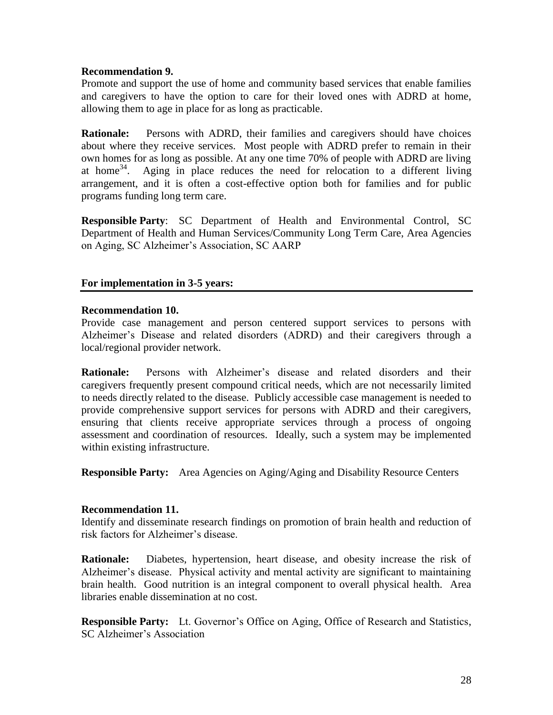#### **Recommendation 9.**

Promote and support the use of home and community based services that enable families and caregivers to have the option to care for their loved ones with ADRD at home, allowing them to age in place for as long as practicable.

**Rationale:** Persons with ADRD, their families and caregivers should have choices about where they receive services. Most people with ADRD prefer to remain in their own homes for as long as possible. At any one time 70% of people with ADRD are living at home<sup>34</sup>. Aging in place reduces the need for relocation to a different living arrangement, and it is often a cost-effective option both for families and for public programs funding long term care.

**Responsible Party**: SC Department of Health and Environmental Control, SC Department of Health and Human Services/Community Long Term Care, Area Agencies on Aging, SC Alzheimer's Association, SC AARP

# **For implementation in 3-5 years:**

#### **Recommendation 10.**

Provide case management and person centered support services to persons with Alzheimer's Disease and related disorders (ADRD) and their caregivers through a local/regional provider network.

**Rationale:** Persons with Alzheimer's disease and related disorders and their caregivers frequently present compound critical needs, which are not necessarily limited to needs directly related to the disease. Publicly accessible case management is needed to provide comprehensive support services for persons with ADRD and their caregivers, ensuring that clients receive appropriate services through a process of ongoing assessment and coordination of resources. Ideally, such a system may be implemented within existing infrastructure.

**Responsible Party:** Area Agencies on Aging/Aging and Disability Resource Centers

#### **Recommendation 11.**

Identify and disseminate research findings on promotion of brain health and reduction of risk factors for Alzheimer's disease.

**Rationale:** Diabetes, hypertension, heart disease, and obesity increase the risk of Alzheimer's disease. Physical activity and mental activity are significant to maintaining brain health. Good nutrition is an integral component to overall physical health. Area libraries enable dissemination at no cost.

**Responsible Party:** Lt. Governor's Office on Aging, Office of Research and Statistics, SC Alzheimer's Association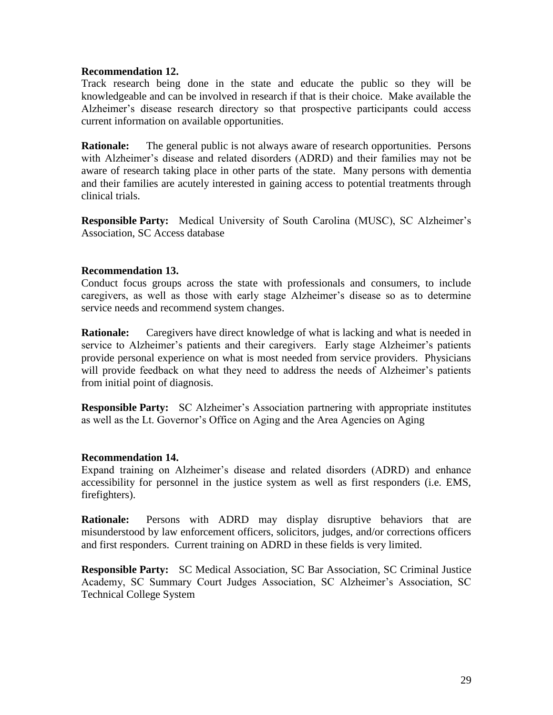#### **Recommendation 12.**

Track research being done in the state and educate the public so they will be knowledgeable and can be involved in research if that is their choice. Make available the Alzheimer's disease research directory so that prospective participants could access current information on available opportunities.

**Rationale:** The general public is not always aware of research opportunities. Persons with Alzheimer's disease and related disorders (ADRD) and their families may not be aware of research taking place in other parts of the state. Many persons with dementia and their families are acutely interested in gaining access to potential treatments through clinical trials.

**Responsible Party:** Medical University of South Carolina (MUSC), SC Alzheimer's Association, SC Access database

#### **Recommendation 13.**

Conduct focus groups across the state with professionals and consumers, to include caregivers, as well as those with early stage Alzheimer's disease so as to determine service needs and recommend system changes.

**Rationale:** Caregivers have direct knowledge of what is lacking and what is needed in service to Alzheimer's patients and their caregivers. Early stage Alzheimer's patients provide personal experience on what is most needed from service providers. Physicians will provide feedback on what they need to address the needs of Alzheimer's patients from initial point of diagnosis.

**Responsible Party:** SC Alzheimer's Association partnering with appropriate institutes as well as the Lt. Governor's Office on Aging and the Area Agencies on Aging

#### **Recommendation 14.**

Expand training on Alzheimer's disease and related disorders (ADRD) and enhance accessibility for personnel in the justice system as well as first responders (i.e. EMS, firefighters).

**Rationale:** Persons with ADRD may display disruptive behaviors that are misunderstood by law enforcement officers, solicitors, judges, and/or corrections officers and first responders. Current training on ADRD in these fields is very limited.

**Responsible Party:** SC Medical Association, SC Bar Association, SC Criminal Justice Academy, SC Summary Court Judges Association, SC Alzheimer's Association, SC Technical College System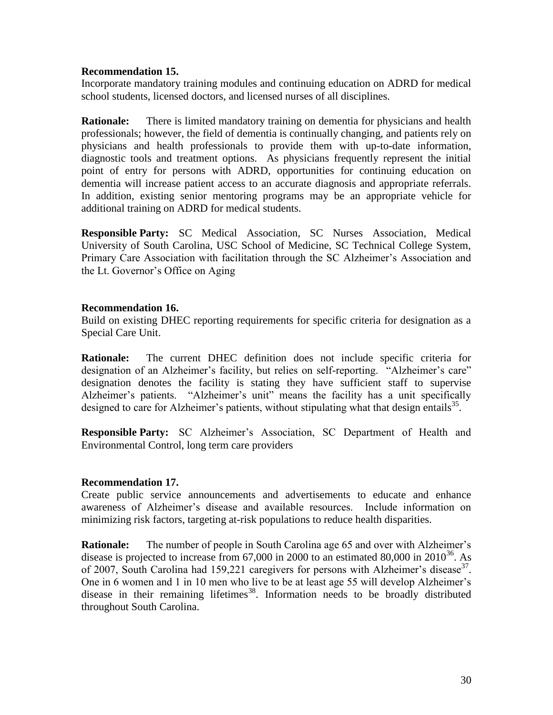#### **Recommendation 15.**

Incorporate mandatory training modules and continuing education on ADRD for medical school students, licensed doctors, and licensed nurses of all disciplines.

**Rationale:** There is limited mandatory training on dementia for physicians and health professionals; however, the field of dementia is continually changing, and patients rely on physicians and health professionals to provide them with up-to-date information, diagnostic tools and treatment options. As physicians frequently represent the initial point of entry for persons with ADRD, opportunities for continuing education on dementia will increase patient access to an accurate diagnosis and appropriate referrals. In addition, existing senior mentoring programs may be an appropriate vehicle for additional training on ADRD for medical students.

**Responsible Party:** SC Medical Association, SC Nurses Association, Medical University of South Carolina, USC School of Medicine, SC Technical College System, Primary Care Association with facilitation through the SC Alzheimer's Association and the Lt. Governor's Office on Aging

#### **Recommendation 16.**

Build on existing DHEC reporting requirements for specific criteria for designation as a Special Care Unit.

**Rationale:** The current DHEC definition does not include specific criteria for designation of an Alzheimer's facility, but relies on self-reporting. "Alzheimer's care" designation denotes the facility is stating they have sufficient staff to supervise Alzheimer's patients. "Alzheimer's unit" means the facility has a unit specifically designed to care for Alzheimer's patients, without stipulating what that design entails  $35$ .

**Responsible Party:** SC Alzheimer's Association, SC Department of Health and Environmental Control, long term care providers

#### **Recommendation 17.**

Create public service announcements and advertisements to educate and enhance awareness of Alzheimer's disease and available resources. Include information on minimizing risk factors, targeting at-risk populations to reduce health disparities.

**Rationale:** The number of people in South Carolina age 65 and over with Alzheimer's disease is projected to increase from  $67,000$  in 2000 to an estimated  $80,000$  in  $2010^{36}$ . As of 2007, South Carolina had 159,221 caregivers for persons with Alzheimer's disease<sup>37</sup>. One in 6 women and 1 in 10 men who live to be at least age 55 will develop Alzheimer's disease in their remaining lifetimes<sup>38</sup>. Information needs to be broadly distributed throughout South Carolina.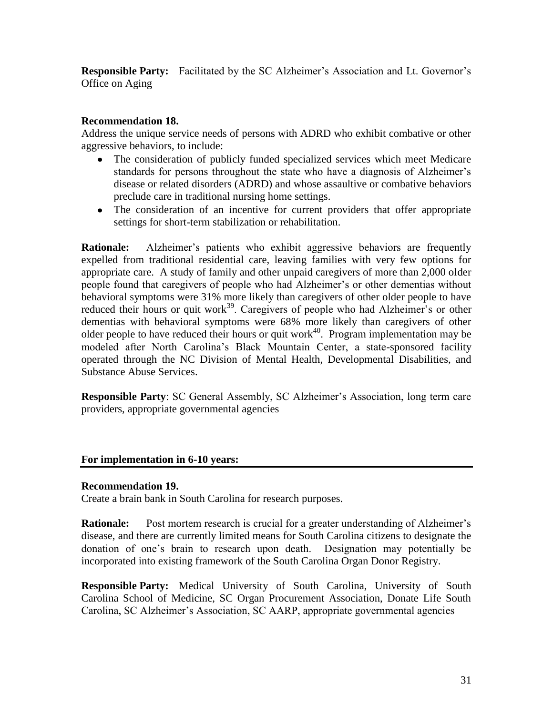**Responsible Party:** Facilitated by the SC Alzheimer's Association and Lt. Governor's Office on Aging

# **Recommendation 18.**

Address the unique service needs of persons with ADRD who exhibit combative or other aggressive behaviors, to include:

- The consideration of publicly funded specialized services which meet Medicare standards for persons throughout the state who have a diagnosis of Alzheimer's disease or related disorders (ADRD) and whose assaultive or combative behaviors preclude care in traditional nursing home settings.
- The consideration of an incentive for current providers that offer appropriate settings for short-term stabilization or rehabilitation.

**Rationale:** Alzheimer's patients who exhibit aggressive behaviors are frequently expelled from traditional residential care, leaving families with very few options for appropriate care. A study of family and other unpaid caregivers of more than 2,000 older people found that caregivers of people who had Alzheimer's or other dementias without behavioral symptoms were 31% more likely than caregivers of other older people to have reduced their hours or quit work<sup>39</sup>. Caregivers of people who had Alzheimer's or other dementias with behavioral symptoms were 68% more likely than caregivers of other older people to have reduced their hours or quit work<sup>40</sup>. Program implementation may be modeled after North Carolina's Black Mountain Center, a state-sponsored facility operated through the NC Division of Mental Health, Developmental Disabilities, and Substance Abuse Services.

**Responsible Party**: SC General Assembly, SC Alzheimer's Association, long term care providers, appropriate governmental agencies

# **For implementation in 6-10 years:**

# **Recommendation 19.**

Create a brain bank in South Carolina for research purposes.

**Rationale:** Post mortem research is crucial for a greater understanding of Alzheimer's disease, and there are currently limited means for South Carolina citizens to designate the donation of one's brain to research upon death. Designation may potentially be incorporated into existing framework of the South Carolina Organ Donor Registry.

**Responsible Party:** Medical University of South Carolina, University of South Carolina School of Medicine, SC Organ Procurement Association, Donate Life South Carolina, SC Alzheimer's Association, SC AARP, appropriate governmental agencies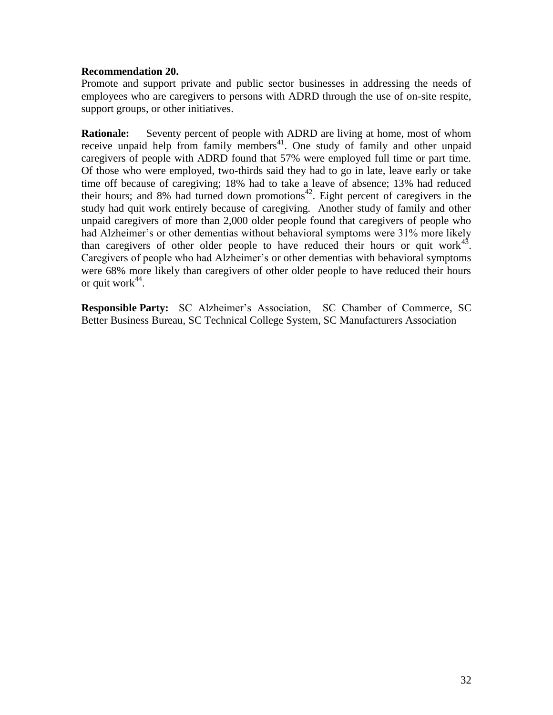#### **Recommendation 20.**

Promote and support private and public sector businesses in addressing the needs of employees who are caregivers to persons with ADRD through the use of on-site respite, support groups, or other initiatives.

**Rationale:** Seventy percent of people with ADRD are living at home, most of whom receive unpaid help from family members<sup>41</sup>. One study of family and other unpaid caregivers of people with ADRD found that 57% were employed full time or part time. Of those who were employed, two-thirds said they had to go in late, leave early or take time off because of caregiving; 18% had to take a leave of absence; 13% had reduced their hours; and 8% had turned down promotions<sup>42</sup>. Eight percent of caregivers in the study had quit work entirely because of caregiving. Another study of family and other unpaid caregivers of more than 2,000 older people found that caregivers of people who had Alzheimer's or other dementias without behavioral symptoms were 31% more likely than caregivers of other older people to have reduced their hours or quit work<sup>43</sup>. Caregivers of people who had Alzheimer's or other dementias with behavioral symptoms were 68% more likely than caregivers of other older people to have reduced their hours or quit work $44$ .

**Responsible Party:** SC Alzheimer's Association, SC Chamber of Commerce, SC Better Business Bureau, SC Technical College System, SC Manufacturers Association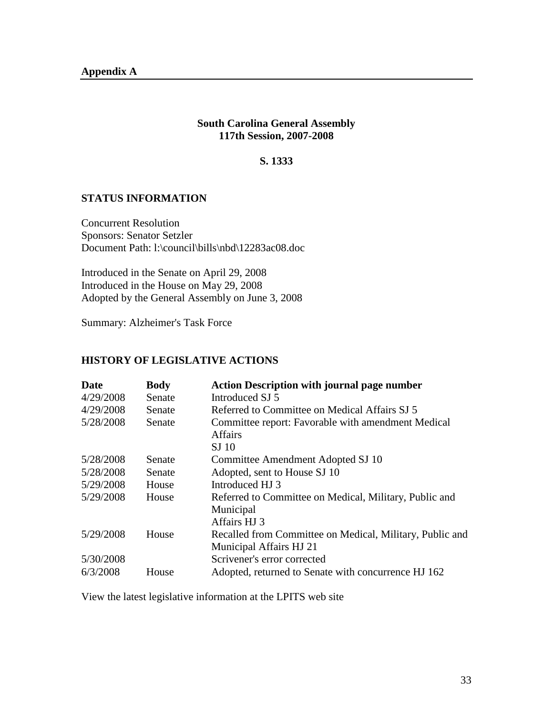#### **South Carolina General Assembly 117th Session, 2007-2008**

#### **S. 1333**

# **STATUS INFORMATION**

Concurrent Resolution Sponsors: Senator Setzler Document Path: l:\council\bills\nbd\12283ac08.doc

Introduced in the Senate on April 29, 2008 Introduced in the House on May 29, 2008 Adopted by the General Assembly on June 3, 2008

Summary: Alzheimer's Task Force

# **HISTORY OF LEGISLATIVE ACTIONS**

| <b>Date</b> | <b>Body</b> | <b>Action Description with journal page number</b>       |
|-------------|-------------|----------------------------------------------------------|
| 4/29/2008   | Senate      | Introduced SJ 5                                          |
| 4/29/2008   | Senate      | Referred to Committee on Medical Affairs SJ 5            |
| 5/28/2008   | Senate      | Committee report: Favorable with amendment Medical       |
|             |             | <b>Affairs</b>                                           |
|             |             | SJ <sub>10</sub>                                         |
| 5/28/2008   | Senate      | Committee Amendment Adopted SJ 10                        |
| 5/28/2008   | Senate      | Adopted, sent to House SJ 10                             |
| 5/29/2008   | House       | Introduced HJ 3                                          |
| 5/29/2008   | House       | Referred to Committee on Medical, Military, Public and   |
|             |             | Municipal                                                |
|             |             | Affairs HJ 3                                             |
| 5/29/2008   | House       | Recalled from Committee on Medical, Military, Public and |
|             |             | Municipal Affairs HJ 21                                  |
| 5/30/2008   |             | Scrivener's error corrected                              |
| 6/3/2008    | House       | Adopted, returned to Senate with concurrence HJ 162      |

View the latest legislative information at the LPITS web site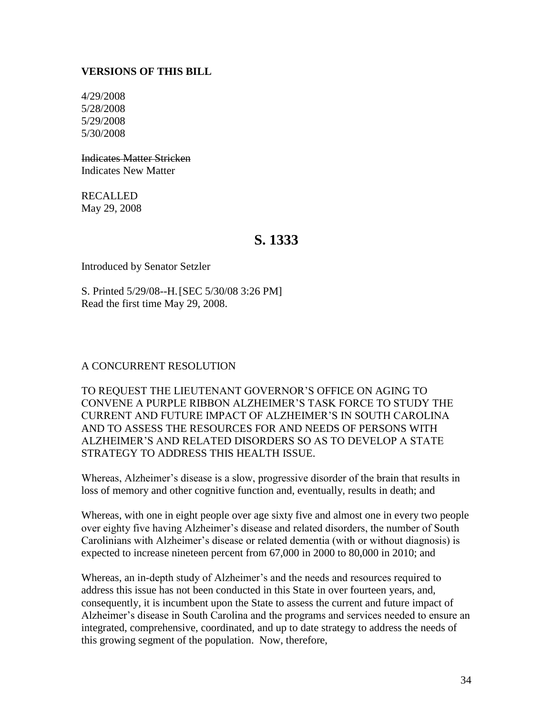# **VERSIONS OF THIS BILL**

4/29/2008 5/28/2008 5/29/2008 5/30/2008

Indicates Matter Stricken Indicates New Matter

RECALLED May 29, 2008

# **S. 1333**

Introduced by Senator Setzler

S. Printed 5/29/08--H.[SEC 5/30/08 3:26 PM] Read the first time May 29, 2008.

#### A CONCURRENT RESOLUTION

TO REQUEST THE LIEUTENANT GOVERNOR'S OFFICE ON AGING TO CONVENE A PURPLE RIBBON ALZHEIMER'S TASK FORCE TO STUDY THE CURRENT AND FUTURE IMPACT OF ALZHEIMER'S IN SOUTH CAROLINA AND TO ASSESS THE RESOURCES FOR AND NEEDS OF PERSONS WITH ALZHEIMER'S AND RELATED DISORDERS SO AS TO DEVELOP A STATE STRATEGY TO ADDRESS THIS HEALTH ISSUE.

Whereas, Alzheimer's disease is a slow, progressive disorder of the brain that results in loss of memory and other cognitive function and, eventually, results in death; and

Whereas, with one in eight people over age sixty five and almost one in every two people over eighty five having Alzheimer's disease and related disorders, the number of South Carolinians with Alzheimer's disease or related dementia (with or without diagnosis) is expected to increase nineteen percent from 67,000 in 2000 to 80,000 in 2010; and

Whereas, an in-depth study of Alzheimer's and the needs and resources required to address this issue has not been conducted in this State in over fourteen years, and, consequently, it is incumbent upon the State to assess the current and future impact of Alzheimer's disease in South Carolina and the programs and services needed to ensure an integrated, comprehensive, coordinated, and up to date strategy to address the needs of this growing segment of the population. Now, therefore,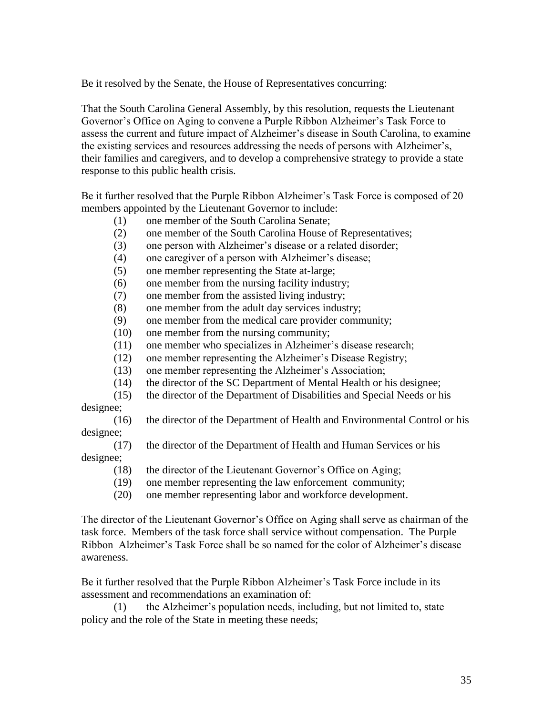Be it resolved by the Senate, the House of Representatives concurring:

That the South Carolina General Assembly, by this resolution, requests the Lieutenant Governor's Office on Aging to convene a Purple Ribbon Alzheimer's Task Force to assess the current and future impact of Alzheimer's disease in South Carolina, to examine the existing services and resources addressing the needs of persons with Alzheimer's, their families and caregivers, and to develop a comprehensive strategy to provide a state response to this public health crisis.

Be it further resolved that the Purple Ribbon Alzheimer's Task Force is composed of 20 members appointed by the Lieutenant Governor to include:

- (1) one member of the South Carolina Senate;
- (2) one member of the South Carolina House of Representatives;
- (3) one person with Alzheimer's disease or a related disorder;
- (4) one caregiver of a person with Alzheimer's disease;
- (5) one member representing the State at-large;
- (6) one member from the nursing facility industry;
- (7) one member from the assisted living industry;
- (8) one member from the adult day services industry;
- (9) one member from the medical care provider community;
- (10) one member from the nursing community;
- (11) one member who specializes in Alzheimer's disease research;
- (12) one member representing the Alzheimer's Disease Registry;
- (13) one member representing the Alzheimer's Association;
- (14) the director of the SC Department of Mental Health or his designee;
- (15) the director of the Department of Disabilities and Special Needs or his

designee;

(16) the director of the Department of Health and Environmental Control or his designee;

(17) the director of the Department of Health and Human Services or his

designee;

- (18) the director of the Lieutenant Governor's Office on Aging;
- (19) one member representing the law enforcement community;
- (20) one member representing labor and workforce development.

The director of the Lieutenant Governor's Office on Aging shall serve as chairman of the task force. Members of the task force shall service without compensation. The Purple Ribbon Alzheimer's Task Force shall be so named for the color of Alzheimer's disease awareness.

Be it further resolved that the Purple Ribbon Alzheimer's Task Force include in its assessment and recommendations an examination of:

(1) the Alzheimer's population needs, including, but not limited to, state policy and the role of the State in meeting these needs;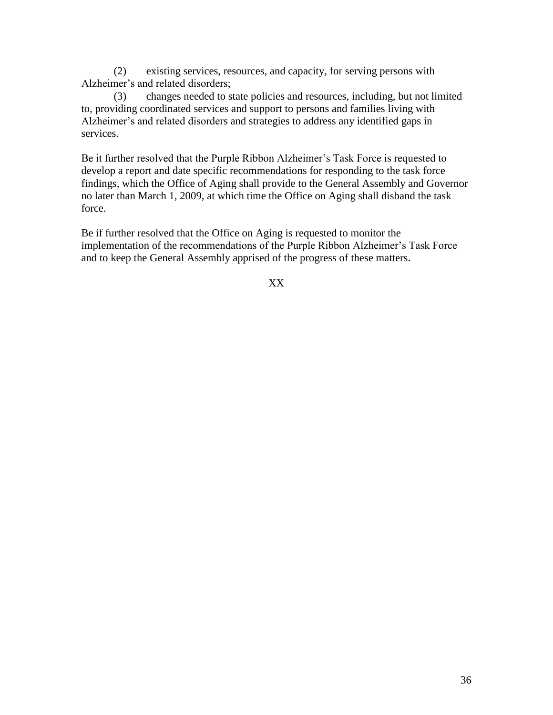(2) existing services, resources, and capacity, for serving persons with Alzheimer's and related disorders;

(3) changes needed to state policies and resources, including, but not limited to, providing coordinated services and support to persons and families living with Alzheimer's and related disorders and strategies to address any identified gaps in services.

Be it further resolved that the Purple Ribbon Alzheimer's Task Force is requested to develop a report and date specific recommendations for responding to the task force findings, which the Office of Aging shall provide to the General Assembly and Governor no later than March 1, 2009, at which time the Office on Aging shall disband the task force.

Be if further resolved that the Office on Aging is requested to monitor the implementation of the recommendations of the Purple Ribbon Alzheimer's Task Force and to keep the General Assembly apprised of the progress of these matters.

XX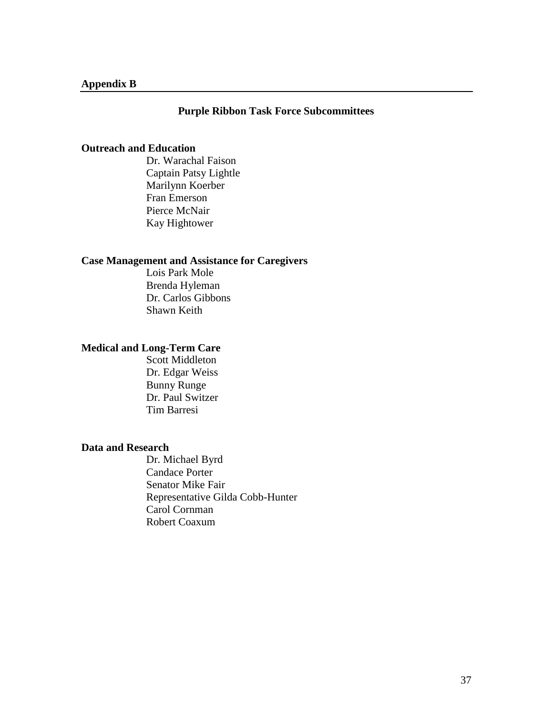#### **Purple Ribbon Task Force Subcommittees**

#### **Outreach and Education**

Dr. Warachal Faison Captain Patsy Lightle Marilynn Koerber Fran Emerson Pierce McNair Kay Hightower

#### **Case Management and Assistance for Caregivers**

Lois Park Mole Brenda Hyleman Dr. Carlos Gibbons Shawn Keith

# **Medical and Long-Term Care**

Scott Middleton Dr. Edgar Weiss Bunny Runge Dr. Paul Switzer Tim Barresi

#### **Data and Research**

Dr. Michael Byrd Candace Porter Senator Mike Fair Representative Gilda Cobb-Hunter Carol Cornman Robert Coaxum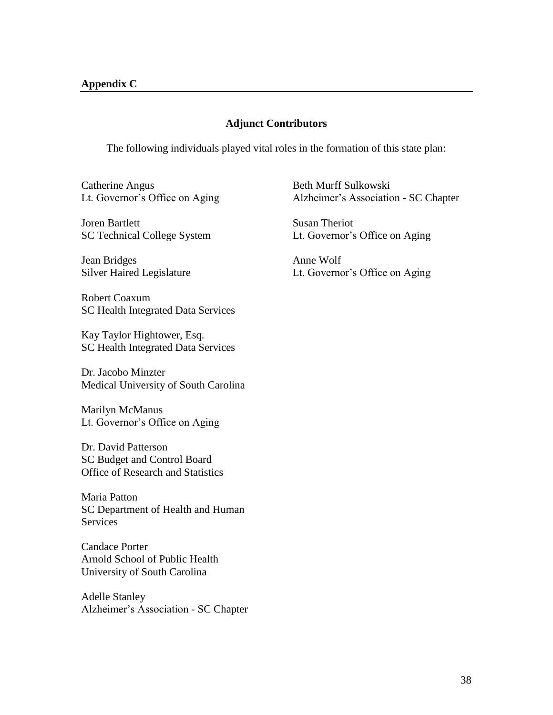#### **Adjunct Contributors**

The following individuals played vital roles in the formation of this state plan:

Catherine Angus Lt. Governor's Office on Aging

Joren Bartlett SC Technical College System

Jean Bridges Silver Haired Legislature

Robert Coaxum SC Health Integrated Data Services

Kay Taylor Hightower, Esq. SC Health Integrated Data Services

Dr. Jacobo Minzter Medical University of South Carolina

Marilyn McManus Lt. Governor's Office on Aging

Dr. David Patterson SC Budget and Control Board Office of Research and Statistics

Maria Patton SC Department of Health and Human **Services** 

Candace Porter Arnold School of Public Health University of South Carolina

Adelle Stanley Alzheimer's Association - SC Chapter Beth Murff Sulkowski Alzheimer's Association - SC Chapter

Susan Theriot Lt. Governor's Office on Aging

Anne Wolf Lt. Governor's Office on Aging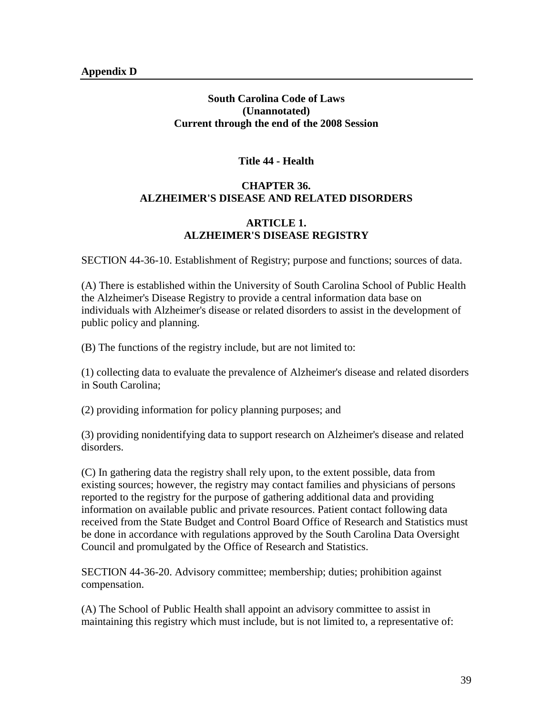# **South Carolina Code of Laws (Unannotated) Current through the end of the 2008 Session**

# **Title 44 - Health**

# **CHAPTER 36. ALZHEIMER'S DISEASE AND RELATED DISORDERS**

# **ARTICLE 1. ALZHEIMER'S DISEASE REGISTRY**

SECTION 44-36-10. Establishment of Registry; purpose and functions; sources of data.

(A) There is established within the University of South Carolina School of Public Health the Alzheimer's Disease Registry to provide a central information data base on individuals with Alzheimer's disease or related disorders to assist in the development of public policy and planning.

(B) The functions of the registry include, but are not limited to:

(1) collecting data to evaluate the prevalence of Alzheimer's disease and related disorders in South Carolina;

(2) providing information for policy planning purposes; and

(3) providing nonidentifying data to support research on Alzheimer's disease and related disorders.

(C) In gathering data the registry shall rely upon, to the extent possible, data from existing sources; however, the registry may contact families and physicians of persons reported to the registry for the purpose of gathering additional data and providing information on available public and private resources. Patient contact following data received from the State Budget and Control Board Office of Research and Statistics must be done in accordance with regulations approved by the South Carolina Data Oversight Council and promulgated by the Office of Research and Statistics.

SECTION 44-36-20. Advisory committee; membership; duties; prohibition against compensation.

(A) The School of Public Health shall appoint an advisory committee to assist in maintaining this registry which must include, but is not limited to, a representative of: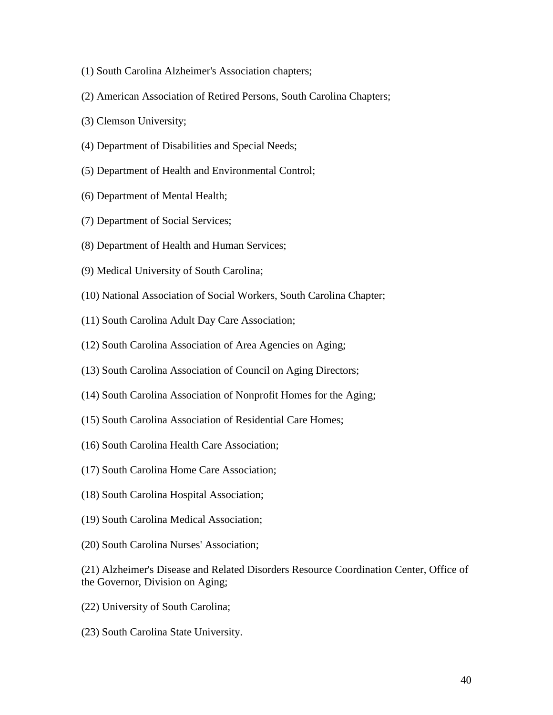- (1) South Carolina Alzheimer's Association chapters;
- (2) American Association of Retired Persons, South Carolina Chapters;
- (3) Clemson University;
- (4) Department of Disabilities and Special Needs;
- (5) Department of Health and Environmental Control;
- (6) Department of Mental Health;
- (7) Department of Social Services;
- (8) Department of Health and Human Services;
- (9) Medical University of South Carolina;
- (10) National Association of Social Workers, South Carolina Chapter;
- (11) South Carolina Adult Day Care Association;
- (12) South Carolina Association of Area Agencies on Aging;
- (13) South Carolina Association of Council on Aging Directors;
- (14) South Carolina Association of Nonprofit Homes for the Aging;
- (15) South Carolina Association of Residential Care Homes;
- (16) South Carolina Health Care Association;
- (17) South Carolina Home Care Association;
- (18) South Carolina Hospital Association;
- (19) South Carolina Medical Association;
- (20) South Carolina Nurses' Association;
- (21) Alzheimer's Disease and Related Disorders Resource Coordination Center, Office of the Governor, Division on Aging;
- (22) University of South Carolina;
- (23) South Carolina State University.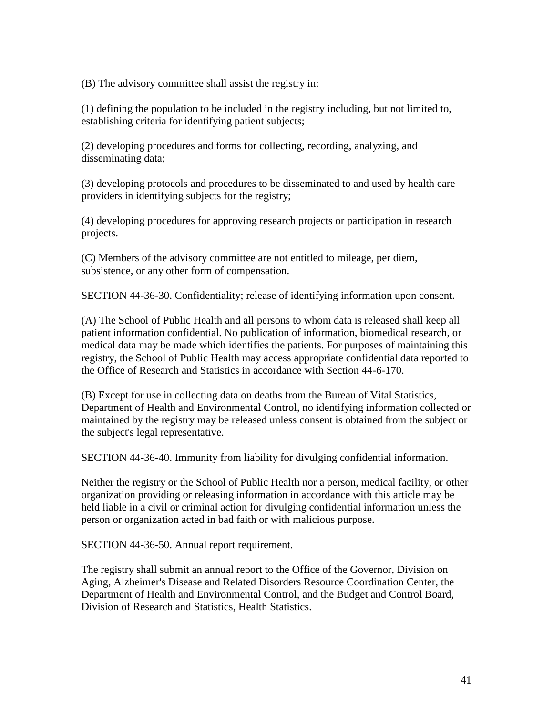(B) The advisory committee shall assist the registry in:

(1) defining the population to be included in the registry including, but not limited to, establishing criteria for identifying patient subjects;

(2) developing procedures and forms for collecting, recording, analyzing, and disseminating data;

(3) developing protocols and procedures to be disseminated to and used by health care providers in identifying subjects for the registry;

(4) developing procedures for approving research projects or participation in research projects.

(C) Members of the advisory committee are not entitled to mileage, per diem, subsistence, or any other form of compensation.

SECTION 44-36-30. Confidentiality; release of identifying information upon consent.

(A) The School of Public Health and all persons to whom data is released shall keep all patient information confidential. No publication of information, biomedical research, or medical data may be made which identifies the patients. For purposes of maintaining this registry, the School of Public Health may access appropriate confidential data reported to the Office of Research and Statistics in accordance with Section 44-6-170.

(B) Except for use in collecting data on deaths from the Bureau of Vital Statistics, Department of Health and Environmental Control, no identifying information collected or maintained by the registry may be released unless consent is obtained from the subject or the subject's legal representative.

SECTION 44-36-40. Immunity from liability for divulging confidential information.

Neither the registry or the School of Public Health nor a person, medical facility, or other organization providing or releasing information in accordance with this article may be held liable in a civil or criminal action for divulging confidential information unless the person or organization acted in bad faith or with malicious purpose.

SECTION 44-36-50. Annual report requirement.

The registry shall submit an annual report to the Office of the Governor, Division on Aging, Alzheimer's Disease and Related Disorders Resource Coordination Center, the Department of Health and Environmental Control, and the Budget and Control Board, Division of Research and Statistics, Health Statistics.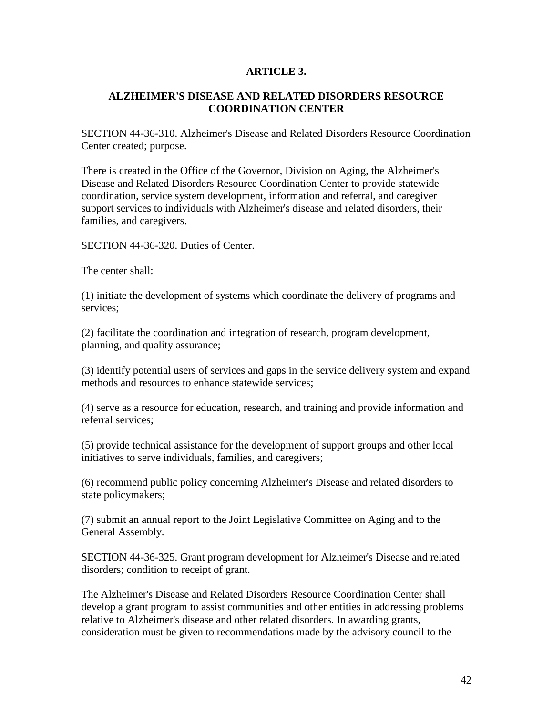# **ARTICLE 3.**

# **ALZHEIMER'S DISEASE AND RELATED DISORDERS RESOURCE COORDINATION CENTER**

SECTION 44-36-310. Alzheimer's Disease and Related Disorders Resource Coordination Center created; purpose.

There is created in the Office of the Governor, Division on Aging, the Alzheimer's Disease and Related Disorders Resource Coordination Center to provide statewide coordination, service system development, information and referral, and caregiver support services to individuals with Alzheimer's disease and related disorders, their families, and caregivers.

SECTION 44-36-320. Duties of Center.

The center shall:

(1) initiate the development of systems which coordinate the delivery of programs and services;

(2) facilitate the coordination and integration of research, program development, planning, and quality assurance;

(3) identify potential users of services and gaps in the service delivery system and expand methods and resources to enhance statewide services;

(4) serve as a resource for education, research, and training and provide information and referral services;

(5) provide technical assistance for the development of support groups and other local initiatives to serve individuals, families, and caregivers;

(6) recommend public policy concerning Alzheimer's Disease and related disorders to state policymakers;

(7) submit an annual report to the Joint Legislative Committee on Aging and to the General Assembly.

SECTION 44-36-325. Grant program development for Alzheimer's Disease and related disorders; condition to receipt of grant.

The Alzheimer's Disease and Related Disorders Resource Coordination Center shall develop a grant program to assist communities and other entities in addressing problems relative to Alzheimer's disease and other related disorders. In awarding grants, consideration must be given to recommendations made by the advisory council to the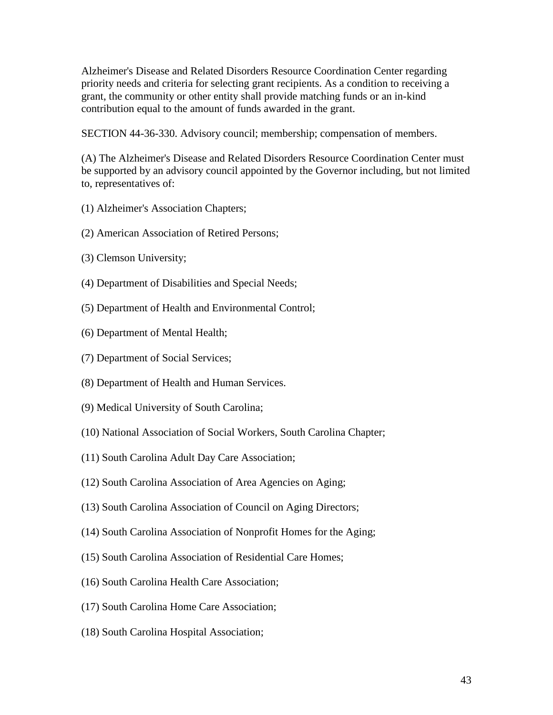Alzheimer's Disease and Related Disorders Resource Coordination Center regarding priority needs and criteria for selecting grant recipients. As a condition to receiving a grant, the community or other entity shall provide matching funds or an in-kind contribution equal to the amount of funds awarded in the grant.

SECTION 44-36-330. Advisory council; membership; compensation of members.

(A) The Alzheimer's Disease and Related Disorders Resource Coordination Center must be supported by an advisory council appointed by the Governor including, but not limited to, representatives of:

- (1) Alzheimer's Association Chapters;
- (2) American Association of Retired Persons;
- (3) Clemson University;
- (4) Department of Disabilities and Special Needs;
- (5) Department of Health and Environmental Control;
- (6) Department of Mental Health;
- (7) Department of Social Services;
- (8) Department of Health and Human Services.
- (9) Medical University of South Carolina;
- (10) National Association of Social Workers, South Carolina Chapter;
- (11) South Carolina Adult Day Care Association;
- (12) South Carolina Association of Area Agencies on Aging;
- (13) South Carolina Association of Council on Aging Directors;
- (14) South Carolina Association of Nonprofit Homes for the Aging;
- (15) South Carolina Association of Residential Care Homes;
- (16) South Carolina Health Care Association;
- (17) South Carolina Home Care Association;
- (18) South Carolina Hospital Association;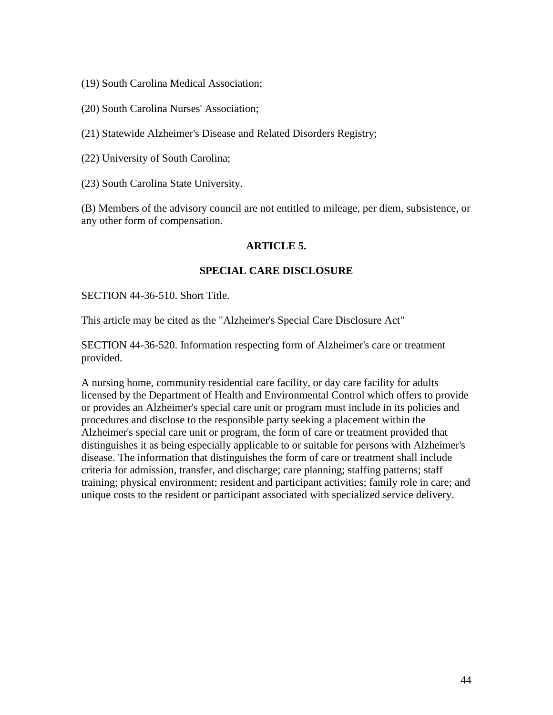- (19) South Carolina Medical Association;
- (20) South Carolina Nurses' Association;

(21) Statewide Alzheimer's Disease and Related Disorders Registry;

- (22) University of South Carolina;
- (23) South Carolina State University.

(B) Members of the advisory council are not entitled to mileage, per diem, subsistence, or any other form of compensation.

#### **ARTICLE 5.**

#### **SPECIAL CARE DISCLOSURE**

SECTION 44-36-510. Short Title.

This article may be cited as the "Alzheimer's Special Care Disclosure Act"

SECTION 44-36-520. Information respecting form of Alzheimer's care or treatment provided.

A nursing home, community residential care facility, or day care facility for adults licensed by the Department of Health and Environmental Control which offers to provide or provides an Alzheimer's special care unit or program must include in its policies and procedures and disclose to the responsible party seeking a placement within the Alzheimer's special care unit or program, the form of care or treatment provided that distinguishes it as being especially applicable to or suitable for persons with Alzheimer's disease. The information that distinguishes the form of care or treatment shall include criteria for admission, transfer, and discharge; care planning; staffing patterns; staff training; physical environment; resident and participant activities; family role in care; and unique costs to the resident or participant associated with specialized service delivery.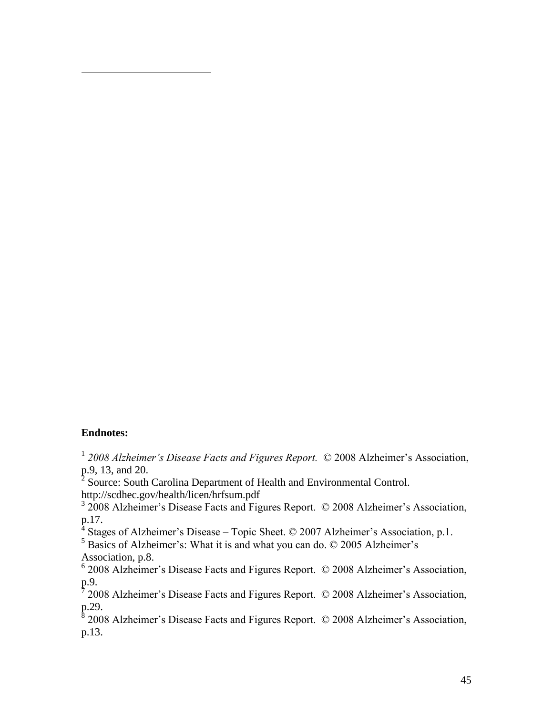# **Endnotes:**

 $\overline{a}$ 

<sup>1</sup> 2008 Alzheimer's Disease Facts and Figures Report. © 2008 Alzheimer's Association, p.9, 13, and 20.

<sup>2</sup> Source: South Carolina Department of Health and Environmental Control. http://scdhec.gov/health/licen/hrfsum.pdf

<sup>3</sup> 2008 Alzheimer's Disease Facts and Figures Report. © 2008 Alzheimer's Association,  $p.17.$ 

Stages of Alzheimer's Disease – Topic Sheet. © 2007 Alzheimer's Association, p.1.

<sup>5</sup> Basics of Alzheimer's: What it is and what you can do. © 2005 Alzheimer's Association, p.8.

6 2008 Alzheimer's Disease Facts and Figures Report. © 2008 Alzheimer's Association, p.9. 7 2008 Alzheimer's Disease Facts and Figures Report. © 2008 Alzheimer's Association,

p.29.<br>8 200

2008 Alzheimer's Disease Facts and Figures Report. © 2008 Alzheimer's Association, p.13.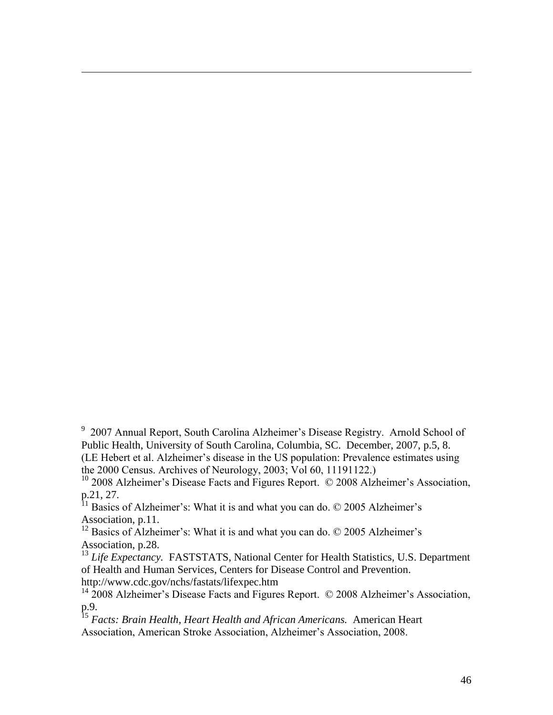<sup>9</sup> 2007 Annual Report, South Carolina Alzheimer's Disease Registry. Arnold School of Public Health, University of South Carolina, Columbia, SC. December, 2007, p.5, 8. (LE Hebert et al. Alzheimer's disease in the US population: Prevalence estimates using the 2000 Census. Archives of Neurology, 2003; Vol 60, 11191122.)

<sup>10</sup> 2008 Alzheimer's Disease Facts and Figures Report. © 2008 Alzheimer's Association, p.21, 27.

 $11$  Basics of Alzheimer's: What it is and what you can do.  $\odot$  2005 Alzheimer's Association, p.11.

 $\overline{a}$ 

<sup>12</sup> Basics of Alzheimer's: What it is and what you can do.  $\odot$  2005 Alzheimer's Association, p.28.

<sup>13</sup> *Life Expectancy.* FASTSTATS, National Center for Health Statistics, U.S. Department of Health and Human Services, Centers for Disease Control and Prevention. http://www.cdc.gov/nchs/fastats/lifexpec.htm

<sup>14</sup> 2008 Alzheimer's Disease Facts and Figures Report. © 2008 Alzheimer's Association, p.9.

<sup>15</sup> *Facts: Brain Health, Heart Health and African Americans.* American Heart Association, American Stroke Association, Alzheimer's Association, 2008.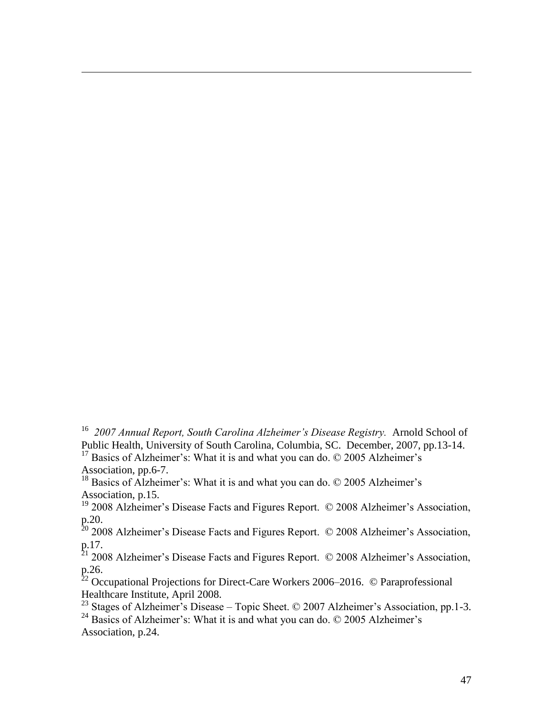<sup>16</sup> 2007 Annual Report, South Carolina Alzheimer's Disease Registry. Arnold School of Public Health, University of South Carolina, Columbia, SC. December, 2007, pp.13-14.  $17$  Basics of Alzheimer's: What it is and what you can do.  $\odot$  2005 Alzheimer's Association, pp.6-7.

<sup>18</sup> Basics of Alzheimer's: What it is and what you can do.  $\odot$  2005 Alzheimer's Association, p.15.

 $\overline{a}$ 

<sup>19</sup> 2008 Alzheimer's Disease Facts and Figures Report. © 2008 Alzheimer's Association, p.20.

 $20$  2008 Alzheimer's Disease Facts and Figures Report.  $\odot$  2008 Alzheimer's Association, p.17.

 $21$  2008 Alzheimer's Disease Facts and Figures Report.  $\odot$  2008 Alzheimer's Association, p.26.

 $22$  Occupational Projections for Direct-Care Workers 2006–2016. © Paraprofessional Healthcare Institute, April 2008.

<sup>23</sup> Stages of Alzheimer's Disease – Topic Sheet. © 2007 Alzheimer's Association, pp.1-3.

<sup>24</sup> Basics of Alzheimer's: What it is and what you can do.  $\odot$  2005 Alzheimer's Association, p.24.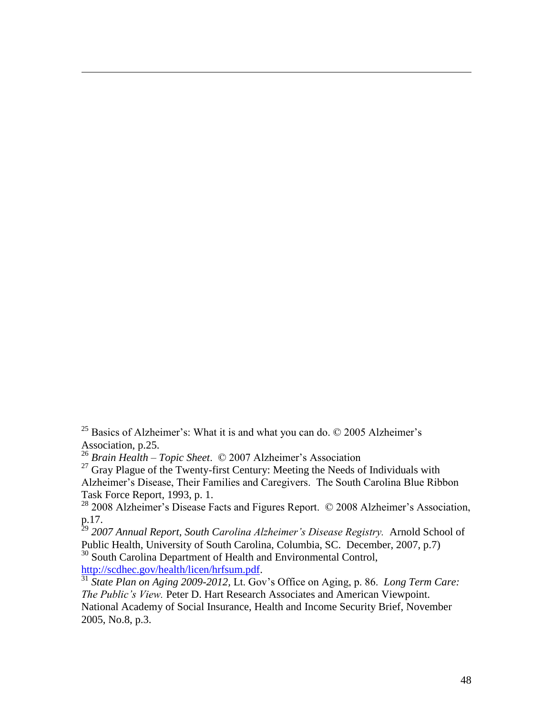<sup>25</sup> Basics of Alzheimer's: What it is and what you can do.  $\odot$  2005 Alzheimer's Association, p.25.

<sup>26</sup> *Brain Health – Topic Sheet*. © 2007 Alzheimer's Association

 $27$  Gray Plague of the Twenty-first Century: Meeting the Needs of Individuals with Alzheimer's Disease, Their Families and Caregivers. The South Carolina Blue Ribbon Task Force Report, 1993, p. 1.

<sup>28</sup> 2008 Alzheimer's Disease Facts and Figures Report. © 2008 Alzheimer's Association, p.17.

<sup>29</sup> 2007 Annual Report, South Carolina Alzheimer's Disease Registry. Arnold School of Public Health, University of South Carolina, Columbia, SC. December, 2007, p.7) <sup>30</sup> South Carolina Department of Health and Environmental Control,

[http://scdhec.gov/health/licen/hrfsum.pdf.](http://scdhec.gov/health/licen/hrfsum.pdf)

 $\overline{a}$ 

<sup>31</sup> *State Plan on Aging 2009-2012,* Lt. Gov's Office on Aging, p. 86. *Long Term Care: The Public's View.* Peter D. Hart Research Associates and American Viewpoint. National Academy of Social Insurance, Health and Income Security Brief, November 2005, No.8, p.3.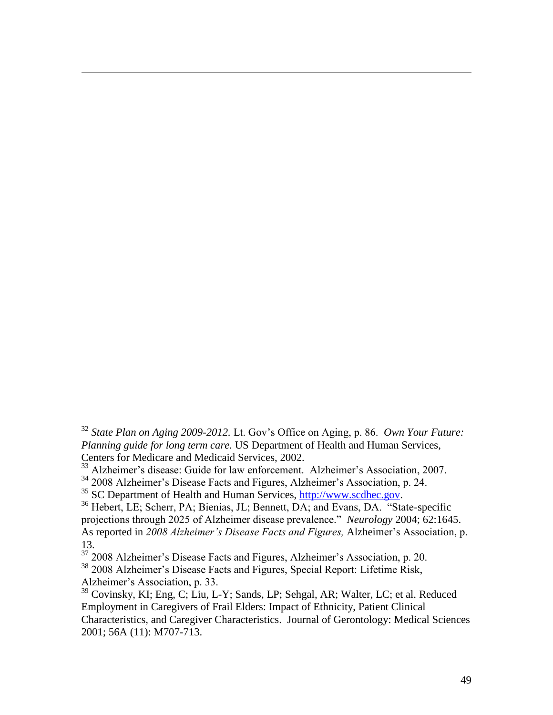<sup>32</sup> *State Plan on Aging 2009-2012.* Lt. Gov's Office on Aging, p. 86. *Own Your Future: Planning guide for long term care.* US Department of Health and Human Services, Centers for Medicare and Medicaid Services, 2002.

<sup>33</sup> Alzheimer's disease: Guide for law enforcement. Alzheimer's Association, 2007.

<sup>34</sup> 2008 Alzheimer's Disease Facts and Figures, Alzheimer's Association, p. 24.

 $35$  SC Department of Health and Human Services, [http://www.scdhec.gov.](http://www.scdhec.gov/)

 $\overline{a}$ 

<sup>36</sup> Hebert, LE; Scherr, PA; Bienias, JL; Bennett, DA; and Evans, DA. "State-specific projections through 2025 of Alzheimer disease prevalence." *Neurology* 2004; 62:1645. As reported in *2008 Alzheimer's Disease Facts and Figures,* Alzheimer's Association, p. 13.

<sup>37</sup> 2008 Alzheimer's Disease Facts and Figures, Alzheimer's Association, p. 20.

<sup>38</sup> 2008 Alzheimer's Disease Facts and Figures, Special Report: Lifetime Risk, Alzheimer's Association, p. 33.

<sup>39</sup> Covinsky, KI; Eng, C; Liu, L-Y; Sands, LP; Sehgal, AR; Walter, LC; et al. Reduced Employment in Caregivers of Frail Elders: Impact of Ethnicity, Patient Clinical Characteristics, and Caregiver Characteristics. Journal of Gerontology: Medical Sciences 2001; 56A (11): M707-713.